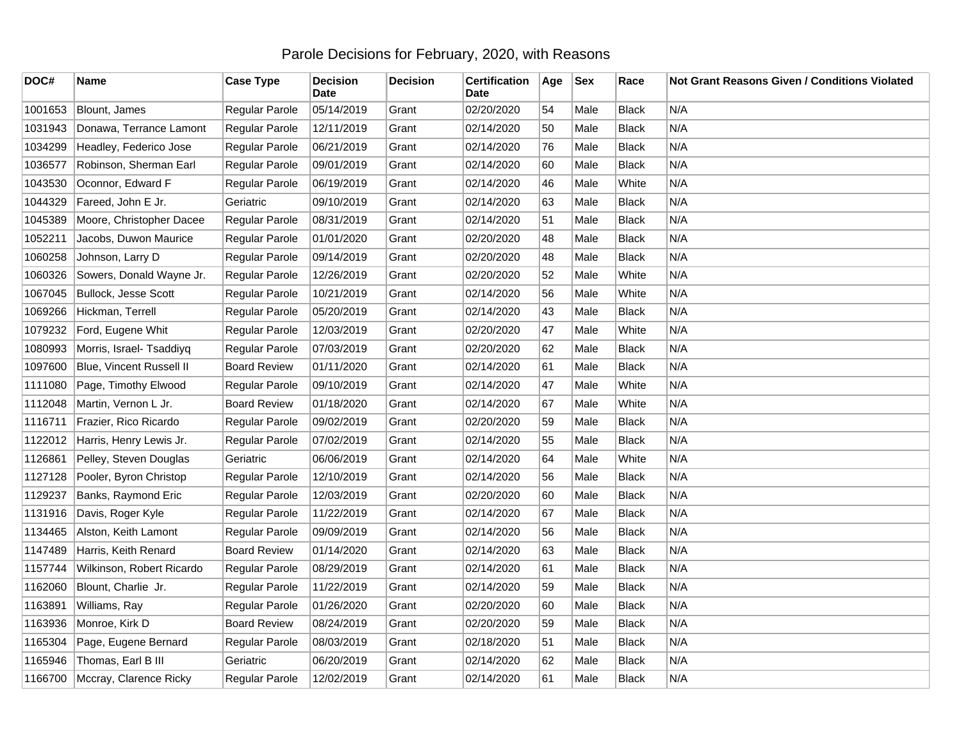## Parole Decisions for February, 2020, with Reasons

| DOC#    | Name                      | <b>Case Type</b>    | <b>Decision</b><br><b>Date</b> | <b>Decision</b> | <b>Certification</b><br>Date | Age | <b>Sex</b> | Race         | Not Grant Reasons Given / Conditions Violated |
|---------|---------------------------|---------------------|--------------------------------|-----------------|------------------------------|-----|------------|--------------|-----------------------------------------------|
| 1001653 | Blount, James             | Regular Parole      | 05/14/2019                     | Grant           | 02/20/2020                   | 54  | Male       | <b>Black</b> | N/A                                           |
| 1031943 | Donawa, Terrance Lamont   | Regular Parole      | 12/11/2019                     | Grant           | 02/14/2020                   | 50  | Male       | <b>Black</b> | N/A                                           |
| 1034299 | Headley, Federico Jose    | Regular Parole      | 06/21/2019                     | Grant           | 02/14/2020                   | 76  | Male       | <b>Black</b> | N/A                                           |
| 1036577 | Robinson, Sherman Earl    | Regular Parole      | 09/01/2019                     | Grant           | 02/14/2020                   | 60  | Male       | <b>Black</b> | N/A                                           |
| 1043530 | Oconnor, Edward F         | Regular Parole      | 06/19/2019                     | Grant           | 02/14/2020                   | 46  | Male       | White        | N/A                                           |
| 1044329 | Fareed, John E Jr.        | Geriatric           | 09/10/2019                     | Grant           | 02/14/2020                   | 63  | Male       | Black        | N/A                                           |
| 1045389 | Moore, Christopher Dacee  | Regular Parole      | 08/31/2019                     | Grant           | 02/14/2020                   | 51  | Male       | <b>Black</b> | N/A                                           |
| 1052211 | Jacobs, Duwon Maurice     | Regular Parole      | 01/01/2020                     | Grant           | 02/20/2020                   | 48  | Male       | Black        | N/A                                           |
| 1060258 | Johnson, Larry D          | Regular Parole      | 09/14/2019                     | Grant           | 02/20/2020                   | 48  | Male       | <b>Black</b> | N/A                                           |
| 1060326 | Sowers, Donald Wayne Jr.  | Regular Parole      | 12/26/2019                     | Grant           | 02/20/2020                   | 52  | Male       | White        | N/A                                           |
| 1067045 | Bullock, Jesse Scott      | Regular Parole      | 10/21/2019                     | Grant           | 02/14/2020                   | 56  | Male       | White        | N/A                                           |
| 1069266 | Hickman, Terrell          | Regular Parole      | 05/20/2019                     | Grant           | 02/14/2020                   | 43  | Male       | <b>Black</b> | N/A                                           |
| 1079232 | Ford, Eugene Whit         | Regular Parole      | 12/03/2019                     | Grant           | 02/20/2020                   | 47  | Male       | White        | N/A                                           |
| 1080993 | Morris, Israel- Tsaddiyq  | Regular Parole      | 07/03/2019                     | Grant           | 02/20/2020                   | 62  | Male       | <b>Black</b> | N/A                                           |
| 1097600 | Blue, Vincent Russell II  | <b>Board Review</b> | 01/11/2020                     | Grant           | 02/14/2020                   | 61  | Male       | <b>Black</b> | N/A                                           |
| 1111080 | Page, Timothy Elwood      | Regular Parole      | 09/10/2019                     | Grant           | 02/14/2020                   | 47  | Male       | White        | N/A                                           |
| 1112048 | Martin, Vernon L Jr.      | <b>Board Review</b> | 01/18/2020                     | Grant           | 02/14/2020                   | 67  | Male       | White        | N/A                                           |
| 1116711 | Frazier, Rico Ricardo     | Regular Parole      | 09/02/2019                     | Grant           | 02/20/2020                   | 59  | Male       | Black        | N/A                                           |
| 1122012 | Harris, Henry Lewis Jr.   | Regular Parole      | 07/02/2019                     | Grant           | 02/14/2020                   | 55  | Male       | <b>Black</b> | N/A                                           |
| 1126861 | Pelley, Steven Douglas    | Geriatric           | 06/06/2019                     | Grant           | 02/14/2020                   | 64  | Male       | White        | N/A                                           |
| 1127128 | Pooler, Byron Christop    | Regular Parole      | 12/10/2019                     | Grant           | 02/14/2020                   | 56  | Male       | <b>Black</b> | N/A                                           |
| 1129237 | Banks, Raymond Eric       | Regular Parole      | 12/03/2019                     | Grant           | 02/20/2020                   | 60  | Male       | <b>Black</b> | N/A                                           |
| 1131916 | Davis, Roger Kyle         | Regular Parole      | 11/22/2019                     | Grant           | 02/14/2020                   | 67  | Male       | <b>Black</b> | N/A                                           |
| 1134465 | Alston, Keith Lamont      | Regular Parole      | 09/09/2019                     | Grant           | 02/14/2020                   | 56  | Male       | <b>Black</b> | N/A                                           |
| 1147489 | Harris, Keith Renard      | <b>Board Review</b> | 01/14/2020                     | Grant           | 02/14/2020                   | 63  | Male       | <b>Black</b> | N/A                                           |
| 1157744 | Wilkinson, Robert Ricardo | Regular Parole      | 08/29/2019                     | Grant           | 02/14/2020                   | 61  | Male       | <b>Black</b> | N/A                                           |
| 1162060 | Blount, Charlie Jr.       | Regular Parole      | 11/22/2019                     | Grant           | 02/14/2020                   | 59  | Male       | Black        | N/A                                           |
| 1163891 | Williams, Ray             | Regular Parole      | 01/26/2020                     | Grant           | 02/20/2020                   | 60  | Male       | <b>Black</b> | N/A                                           |
| 1163936 | Monroe, Kirk D            | <b>Board Review</b> | 08/24/2019                     | Grant           | 02/20/2020                   | 59  | Male       | <b>Black</b> | N/A                                           |
| 1165304 | Page, Eugene Bernard      | Regular Parole      | 08/03/2019                     | Grant           | 02/18/2020                   | 51  | Male       | <b>Black</b> | N/A                                           |
| 1165946 | Thomas, Earl B III        | Geriatric           | 06/20/2019                     | Grant           | 02/14/2020                   | 62  | Male       | <b>Black</b> | N/A                                           |
| 1166700 | Mccray, Clarence Ricky    | Regular Parole      | 12/02/2019                     | Grant           | 02/14/2020                   | 61  | Male       | <b>Black</b> | N/A                                           |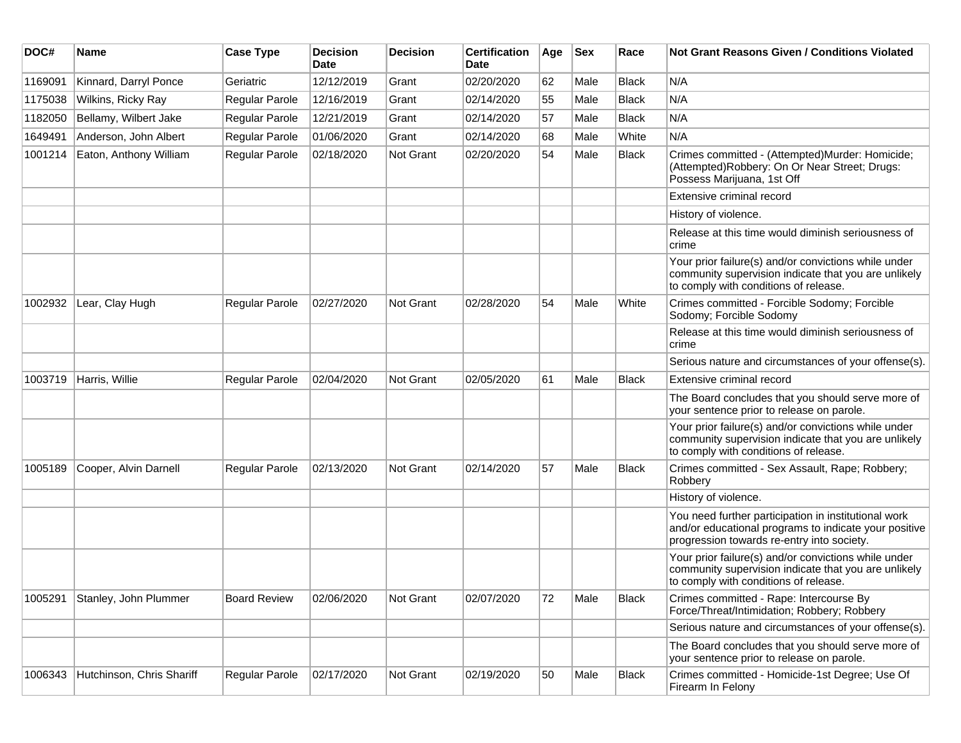| DOC#    | <b>Name</b>               | <b>Case Type</b>    | <b>Decision</b><br><b>Date</b> | <b>Decision</b> | <b>Certification</b><br>Date | Age | <b>Sex</b> | Race         | <b>Not Grant Reasons Given / Conditions Violated</b>                                                                                                        |
|---------|---------------------------|---------------------|--------------------------------|-----------------|------------------------------|-----|------------|--------------|-------------------------------------------------------------------------------------------------------------------------------------------------------------|
| 1169091 | Kinnard, Darryl Ponce     | Geriatric           | 12/12/2019                     | Grant           | 02/20/2020                   | 62  | Male       | <b>Black</b> | N/A                                                                                                                                                         |
| 1175038 | Wilkins, Ricky Ray        | Regular Parole      | 12/16/2019                     | Grant           | 02/14/2020                   | 55  | Male       | <b>Black</b> | N/A                                                                                                                                                         |
| 1182050 | Bellamy, Wilbert Jake     | Regular Parole      | 12/21/2019                     | Grant           | 02/14/2020                   | 57  | Male       | <b>Black</b> | N/A                                                                                                                                                         |
| 1649491 | Anderson, John Albert     | Regular Parole      | 01/06/2020                     | Grant           | 02/14/2020                   | 68  | Male       | White        | N/A                                                                                                                                                         |
| 1001214 | Eaton, Anthony William    | Regular Parole      | 02/18/2020                     | Not Grant       | 02/20/2020                   | 54  | Male       | <b>Black</b> | Crimes committed - (Attempted)Murder: Homicide;<br>(Attempted)Robbery: On Or Near Street; Drugs:<br>Possess Marijuana, 1st Off                              |
|         |                           |                     |                                |                 |                              |     |            |              | Extensive criminal record                                                                                                                                   |
|         |                           |                     |                                |                 |                              |     |            |              | History of violence.                                                                                                                                        |
|         |                           |                     |                                |                 |                              |     |            |              | Release at this time would diminish seriousness of<br>crime                                                                                                 |
|         |                           |                     |                                |                 |                              |     |            |              | Your prior failure(s) and/or convictions while under<br>community supervision indicate that you are unlikely<br>to comply with conditions of release.       |
| 1002932 | Lear, Clay Hugh           | Regular Parole      | 02/27/2020                     | Not Grant       | 02/28/2020                   | 54  | Male       | White        | Crimes committed - Forcible Sodomy; Forcible<br>Sodomy; Forcible Sodomy                                                                                     |
|         |                           |                     |                                |                 |                              |     |            |              | Release at this time would diminish seriousness of<br>crime                                                                                                 |
|         |                           |                     |                                |                 |                              |     |            |              | Serious nature and circumstances of your offense(s).                                                                                                        |
| 1003719 | Harris, Willie            | Regular Parole      | 02/04/2020                     | Not Grant       | 02/05/2020                   | 61  | Male       | Black        | Extensive criminal record                                                                                                                                   |
|         |                           |                     |                                |                 |                              |     |            |              | The Board concludes that you should serve more of<br>your sentence prior to release on parole.                                                              |
|         |                           |                     |                                |                 |                              |     |            |              | Your prior failure(s) and/or convictions while under<br>community supervision indicate that you are unlikely<br>to comply with conditions of release.       |
| 1005189 | Cooper, Alvin Darnell     | Regular Parole      | 02/13/2020                     | Not Grant       | 02/14/2020                   | 57  | Male       | <b>Black</b> | Crimes committed - Sex Assault, Rape; Robbery;<br>Robbery                                                                                                   |
|         |                           |                     |                                |                 |                              |     |            |              | History of violence.                                                                                                                                        |
|         |                           |                     |                                |                 |                              |     |            |              | You need further participation in institutional work<br>and/or educational programs to indicate your positive<br>progression towards re-entry into society. |
|         |                           |                     |                                |                 |                              |     |            |              | Your prior failure(s) and/or convictions while under<br>community supervision indicate that you are unlikely<br>to comply with conditions of release.       |
| 1005291 | Stanley, John Plummer     | <b>Board Review</b> | 02/06/2020                     | Not Grant       | 02/07/2020                   | 72  | Male       | <b>Black</b> | Crimes committed - Rape: Intercourse By<br>Force/Threat/Intimidation; Robbery; Robbery                                                                      |
|         |                           |                     |                                |                 |                              |     |            |              | Serious nature and circumstances of your offense(s).                                                                                                        |
|         |                           |                     |                                |                 |                              |     |            |              | The Board concludes that you should serve more of<br>your sentence prior to release on parole.                                                              |
| 1006343 | Hutchinson, Chris Shariff | Regular Parole      | 02/17/2020                     | Not Grant       | 02/19/2020                   | 50  | Male       | <b>Black</b> | Crimes committed - Homicide-1st Degree; Use Of<br>Firearm In Felony                                                                                         |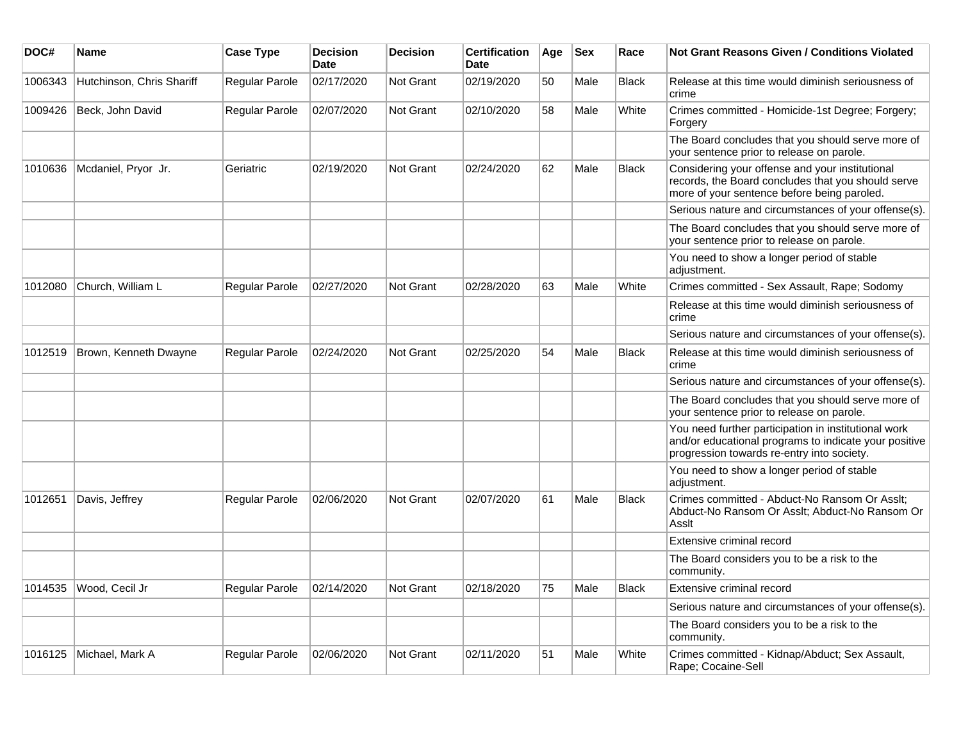| DOC#    | <b>Name</b>               | <b>Case Type</b> | <b>Decision</b><br><b>Date</b> | <b>Decision</b>  | <b>Certification</b><br><b>Date</b> | Age | <b>Sex</b> | Race         | <b>Not Grant Reasons Given / Conditions Violated</b>                                                                                                        |
|---------|---------------------------|------------------|--------------------------------|------------------|-------------------------------------|-----|------------|--------------|-------------------------------------------------------------------------------------------------------------------------------------------------------------|
| 1006343 | Hutchinson, Chris Shariff | Regular Parole   | 02/17/2020                     | Not Grant        | 02/19/2020                          | 50  | Male       | <b>Black</b> | Release at this time would diminish seriousness of<br>crime                                                                                                 |
| 1009426 | Beck, John David          | Regular Parole   | 02/07/2020                     | <b>Not Grant</b> | 02/10/2020                          | 58  | Male       | White        | Crimes committed - Homicide-1st Degree; Forgery;<br>Forgery                                                                                                 |
|         |                           |                  |                                |                  |                                     |     |            |              | The Board concludes that you should serve more of<br>your sentence prior to release on parole.                                                              |
| 1010636 | Mcdaniel, Pryor Jr.       | Geriatric        | 02/19/2020                     | Not Grant        | 02/24/2020                          | 62  | Male       | <b>Black</b> | Considering your offense and your institutional<br>records, the Board concludes that you should serve<br>more of your sentence before being paroled.        |
|         |                           |                  |                                |                  |                                     |     |            |              | Serious nature and circumstances of your offense(s).                                                                                                        |
|         |                           |                  |                                |                  |                                     |     |            |              | The Board concludes that you should serve more of<br>your sentence prior to release on parole.                                                              |
|         |                           |                  |                                |                  |                                     |     |            |              | You need to show a longer period of stable<br>adjustment.                                                                                                   |
| 1012080 | Church, William L         | Regular Parole   | 02/27/2020                     | Not Grant        | 02/28/2020                          | 63  | Male       | White        | Crimes committed - Sex Assault, Rape; Sodomy                                                                                                                |
|         |                           |                  |                                |                  |                                     |     |            |              | Release at this time would diminish seriousness of<br>crime                                                                                                 |
|         |                           |                  |                                |                  |                                     |     |            |              | Serious nature and circumstances of your offense(s).                                                                                                        |
| 1012519 | Brown, Kenneth Dwayne     | Regular Parole   | 02/24/2020                     | <b>Not Grant</b> | 02/25/2020                          | 54  | Male       | <b>Black</b> | Release at this time would diminish seriousness of<br>crime                                                                                                 |
|         |                           |                  |                                |                  |                                     |     |            |              | Serious nature and circumstances of your offense(s).                                                                                                        |
|         |                           |                  |                                |                  |                                     |     |            |              | The Board concludes that you should serve more of<br>your sentence prior to release on parole.                                                              |
|         |                           |                  |                                |                  |                                     |     |            |              | You need further participation in institutional work<br>and/or educational programs to indicate your positive<br>progression towards re-entry into society. |
|         |                           |                  |                                |                  |                                     |     |            |              | You need to show a longer period of stable<br>adjustment.                                                                                                   |
| 1012651 | Davis, Jeffrey            | Regular Parole   | 02/06/2020                     | <b>Not Grant</b> | 02/07/2020                          | 61  | Male       | <b>Black</b> | Crimes committed - Abduct-No Ransom Or Asslt:<br>Abduct-No Ransom Or Asslt; Abduct-No Ransom Or<br>Asslt                                                    |
|         |                           |                  |                                |                  |                                     |     |            |              | Extensive criminal record                                                                                                                                   |
|         |                           |                  |                                |                  |                                     |     |            |              | The Board considers you to be a risk to the<br>community.                                                                                                   |
| 1014535 | Wood, Cecil Jr            | Regular Parole   | 02/14/2020                     | <b>Not Grant</b> | 02/18/2020                          | 75  | Male       | <b>Black</b> | Extensive criminal record                                                                                                                                   |
|         |                           |                  |                                |                  |                                     |     |            |              | Serious nature and circumstances of your offense(s).                                                                                                        |
|         |                           |                  |                                |                  |                                     |     |            |              | The Board considers you to be a risk to the<br>community.                                                                                                   |
| 1016125 | Michael, Mark A           | Regular Parole   | 02/06/2020                     | <b>Not Grant</b> | 02/11/2020                          | 51  | Male       | White        | Crimes committed - Kidnap/Abduct; Sex Assault,<br>Rape; Cocaine-Sell                                                                                        |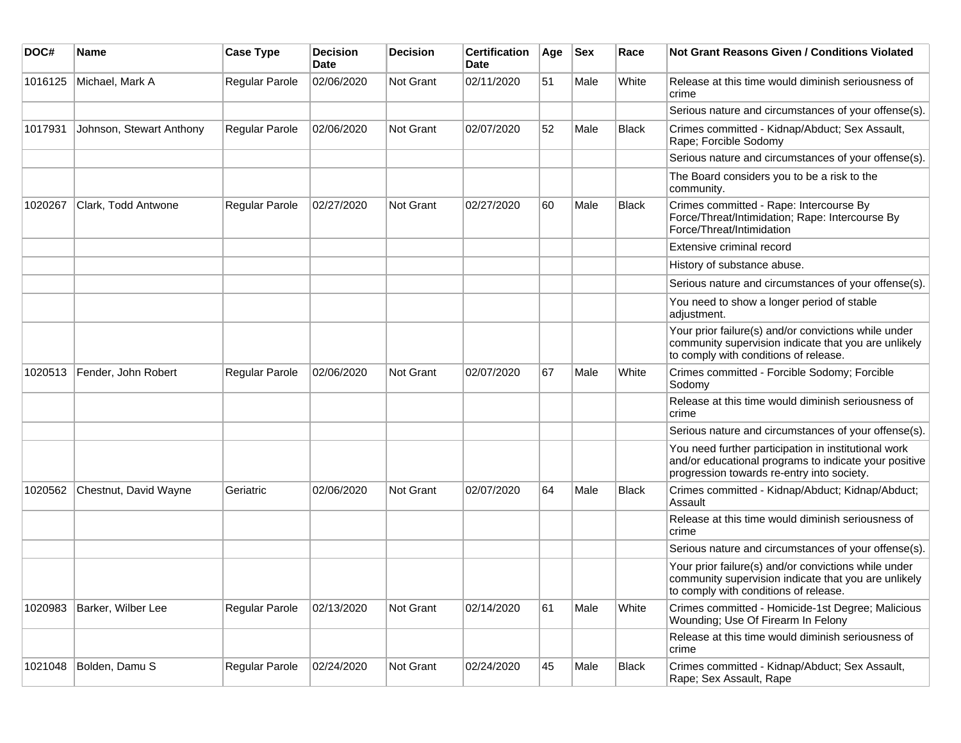| DOC#    | Name                     | <b>Case Type</b>      | <b>Decision</b><br><b>Date</b> | <b>Decision</b>  | <b>Certification</b><br><b>Date</b> | Age | <b>Sex</b> | Race         | Not Grant Reasons Given / Conditions Violated                                                                                                               |
|---------|--------------------------|-----------------------|--------------------------------|------------------|-------------------------------------|-----|------------|--------------|-------------------------------------------------------------------------------------------------------------------------------------------------------------|
| 1016125 | Michael, Mark A          | Regular Parole        | 02/06/2020                     | <b>Not Grant</b> | 02/11/2020                          | 51  | Male       | White        | Release at this time would diminish seriousness of<br>crime                                                                                                 |
|         |                          |                       |                                |                  |                                     |     |            |              | Serious nature and circumstances of your offense(s).                                                                                                        |
| 1017931 | Johnson, Stewart Anthony | Regular Parole        | 02/06/2020                     | <b>Not Grant</b> | 02/07/2020                          | 52  | Male       | <b>Black</b> | Crimes committed - Kidnap/Abduct; Sex Assault,<br>Rape; Forcible Sodomy                                                                                     |
|         |                          |                       |                                |                  |                                     |     |            |              | Serious nature and circumstances of your offense(s).                                                                                                        |
|         |                          |                       |                                |                  |                                     |     |            |              | The Board considers you to be a risk to the<br>community.                                                                                                   |
| 1020267 | Clark, Todd Antwone      | <b>Regular Parole</b> | 02/27/2020                     | Not Grant        | 02/27/2020                          | 60  | Male       | <b>Black</b> | Crimes committed - Rape: Intercourse By<br>Force/Threat/Intimidation; Rape: Intercourse By<br>Force/Threat/Intimidation                                     |
|         |                          |                       |                                |                  |                                     |     |            |              | Extensive criminal record                                                                                                                                   |
|         |                          |                       |                                |                  |                                     |     |            |              | History of substance abuse.                                                                                                                                 |
|         |                          |                       |                                |                  |                                     |     |            |              | Serious nature and circumstances of your offense(s).                                                                                                        |
|         |                          |                       |                                |                  |                                     |     |            |              | You need to show a longer period of stable<br>adjustment.                                                                                                   |
|         |                          |                       |                                |                  |                                     |     |            |              | Your prior failure(s) and/or convictions while under<br>community supervision indicate that you are unlikely<br>to comply with conditions of release.       |
| 1020513 | Fender, John Robert      | Regular Parole        | 02/06/2020                     | Not Grant        | 02/07/2020                          | 67  | Male       | White        | Crimes committed - Forcible Sodomy; Forcible<br>Sodomy                                                                                                      |
|         |                          |                       |                                |                  |                                     |     |            |              | Release at this time would diminish seriousness of<br>crime                                                                                                 |
|         |                          |                       |                                |                  |                                     |     |            |              | Serious nature and circumstances of your offense(s).                                                                                                        |
|         |                          |                       |                                |                  |                                     |     |            |              | You need further participation in institutional work<br>and/or educational programs to indicate your positive<br>progression towards re-entry into society. |
| 1020562 | Chestnut, David Wayne    | Geriatric             | 02/06/2020                     | <b>Not Grant</b> | 02/07/2020                          | 64  | Male       | <b>Black</b> | Crimes committed - Kidnap/Abduct; Kidnap/Abduct;<br>Assault                                                                                                 |
|         |                          |                       |                                |                  |                                     |     |            |              | Release at this time would diminish seriousness of<br>crime                                                                                                 |
|         |                          |                       |                                |                  |                                     |     |            |              | Serious nature and circumstances of your offense(s).                                                                                                        |
|         |                          |                       |                                |                  |                                     |     |            |              | Your prior failure(s) and/or convictions while under<br>community supervision indicate that you are unlikely<br>to comply with conditions of release.       |
| 1020983 | Barker, Wilber Lee       | Regular Parole        | 02/13/2020                     | Not Grant        | 02/14/2020                          | 61  | Male       | White        | Crimes committed - Homicide-1st Degree; Malicious<br>Wounding; Use Of Firearm In Felony                                                                     |
|         |                          |                       |                                |                  |                                     |     |            |              | Release at this time would diminish seriousness of<br>crime                                                                                                 |
| 1021048 | Bolden, Damu S           | Regular Parole        | 02/24/2020                     | Not Grant        | 02/24/2020                          | 45  | Male       | <b>Black</b> | Crimes committed - Kidnap/Abduct; Sex Assault,<br>Rape; Sex Assault, Rape                                                                                   |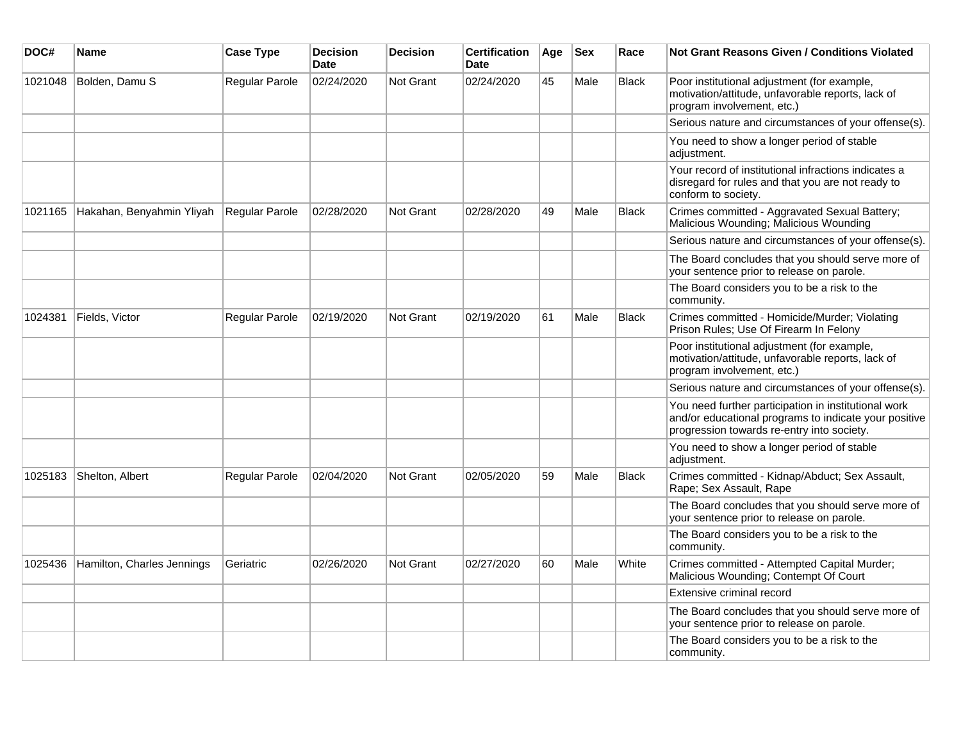| DOC#    | <b>Name</b>                | <b>Case Type</b> | <b>Decision</b><br><b>Date</b> | <b>Decision</b>  | <b>Certification</b><br><b>Date</b> | Age | <b>Sex</b> | Race         | <b>Not Grant Reasons Given / Conditions Violated</b>                                                                                                        |
|---------|----------------------------|------------------|--------------------------------|------------------|-------------------------------------|-----|------------|--------------|-------------------------------------------------------------------------------------------------------------------------------------------------------------|
| 1021048 | Bolden, Damu S             | Regular Parole   | 02/24/2020                     | Not Grant        | 02/24/2020                          | 45  | Male       | <b>Black</b> | Poor institutional adjustment (for example,<br>motivation/attitude, unfavorable reports, lack of<br>program involvement, etc.)                              |
|         |                            |                  |                                |                  |                                     |     |            |              | Serious nature and circumstances of your offense(s).                                                                                                        |
|         |                            |                  |                                |                  |                                     |     |            |              | You need to show a longer period of stable<br>adjustment.                                                                                                   |
|         |                            |                  |                                |                  |                                     |     |            |              | Your record of institutional infractions indicates a<br>disregard for rules and that you are not ready to<br>conform to society.                            |
| 1021165 | Hakahan, Benyahmin Yliyah  | Regular Parole   | 02/28/2020                     | <b>Not Grant</b> | 02/28/2020                          | 49  | Male       | <b>Black</b> | Crimes committed - Aggravated Sexual Battery;<br>Malicious Wounding; Malicious Wounding                                                                     |
|         |                            |                  |                                |                  |                                     |     |            |              | Serious nature and circumstances of your offense(s).                                                                                                        |
|         |                            |                  |                                |                  |                                     |     |            |              | The Board concludes that you should serve more of<br>your sentence prior to release on parole.                                                              |
|         |                            |                  |                                |                  |                                     |     |            |              | The Board considers you to be a risk to the<br>community.                                                                                                   |
| 1024381 | Fields, Victor             | Regular Parole   | 02/19/2020                     | <b>Not Grant</b> | 02/19/2020                          | 61  | Male       | <b>Black</b> | Crimes committed - Homicide/Murder; Violating<br>Prison Rules; Use Of Firearm In Felony                                                                     |
|         |                            |                  |                                |                  |                                     |     |            |              | Poor institutional adjustment (for example,<br>motivation/attitude, unfavorable reports, lack of<br>program involvement, etc.)                              |
|         |                            |                  |                                |                  |                                     |     |            |              | Serious nature and circumstances of your offense(s).                                                                                                        |
|         |                            |                  |                                |                  |                                     |     |            |              | You need further participation in institutional work<br>and/or educational programs to indicate your positive<br>progression towards re-entry into society. |
|         |                            |                  |                                |                  |                                     |     |            |              | You need to show a longer period of stable<br>adjustment.                                                                                                   |
| 1025183 | Shelton, Albert            | Regular Parole   | 02/04/2020                     | <b>Not Grant</b> | 02/05/2020                          | 59  | Male       | <b>Black</b> | Crimes committed - Kidnap/Abduct; Sex Assault,<br>Rape; Sex Assault, Rape                                                                                   |
|         |                            |                  |                                |                  |                                     |     |            |              | The Board concludes that you should serve more of<br>your sentence prior to release on parole.                                                              |
|         |                            |                  |                                |                  |                                     |     |            |              | The Board considers you to be a risk to the<br>community.                                                                                                   |
| 1025436 | Hamilton, Charles Jennings | Geriatric        | 02/26/2020                     | <b>Not Grant</b> | 02/27/2020                          | 60  | Male       | White        | Crimes committed - Attempted Capital Murder;<br>Malicious Wounding; Contempt Of Court                                                                       |
|         |                            |                  |                                |                  |                                     |     |            |              | Extensive criminal record                                                                                                                                   |
|         |                            |                  |                                |                  |                                     |     |            |              | The Board concludes that you should serve more of<br>your sentence prior to release on parole.                                                              |
|         |                            |                  |                                |                  |                                     |     |            |              | The Board considers you to be a risk to the<br>community.                                                                                                   |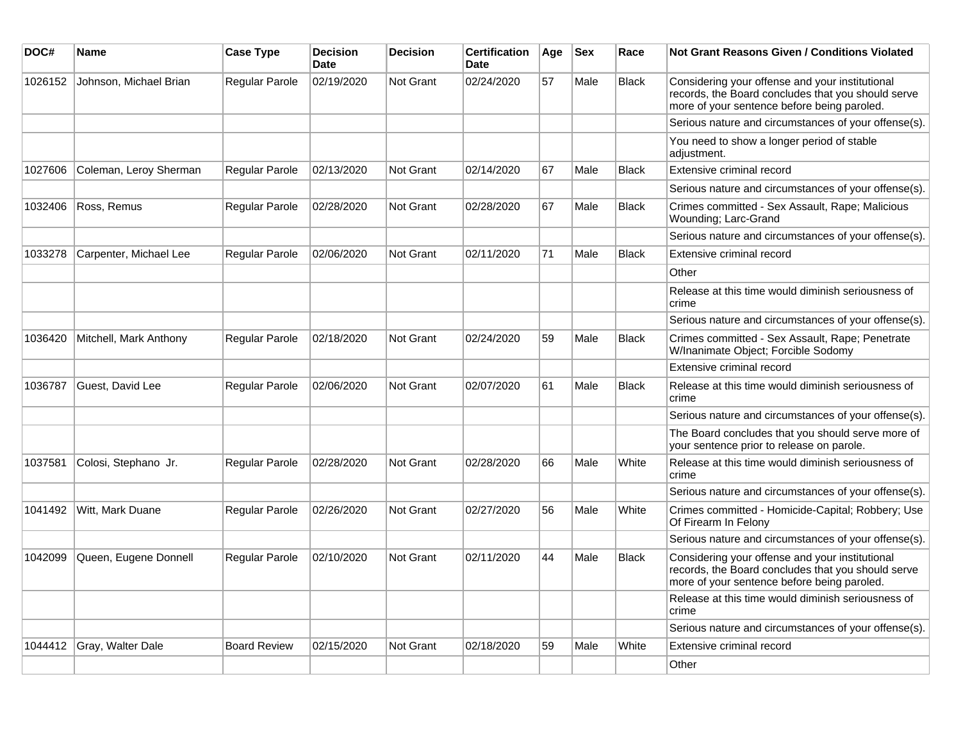| DOC#    | <b>Name</b>            | <b>Case Type</b>      | <b>Decision</b><br><b>Date</b> | <b>Decision</b>  | <b>Certification</b><br><b>Date</b> | Age | <b>Sex</b> | Race         | <b>Not Grant Reasons Given / Conditions Violated</b>                                                                                                 |
|---------|------------------------|-----------------------|--------------------------------|------------------|-------------------------------------|-----|------------|--------------|------------------------------------------------------------------------------------------------------------------------------------------------------|
| 1026152 | Johnson, Michael Brian | <b>Regular Parole</b> | 02/19/2020                     | <b>Not Grant</b> | 02/24/2020                          | 57  | Male       | <b>Black</b> | Considering your offense and your institutional<br>records, the Board concludes that you should serve<br>more of your sentence before being paroled. |
|         |                        |                       |                                |                  |                                     |     |            |              | Serious nature and circumstances of your offense(s).                                                                                                 |
|         |                        |                       |                                |                  |                                     |     |            |              | You need to show a longer period of stable<br>adjustment.                                                                                            |
| 1027606 | Coleman, Leroy Sherman | Regular Parole        | 02/13/2020                     | <b>Not Grant</b> | 02/14/2020                          | 67  | Male       | <b>Black</b> | Extensive criminal record                                                                                                                            |
|         |                        |                       |                                |                  |                                     |     |            |              | Serious nature and circumstances of your offense(s).                                                                                                 |
| 1032406 | Ross, Remus            | Regular Parole        | 02/28/2020                     | <b>Not Grant</b> | 02/28/2020                          | 67  | Male       | <b>Black</b> | Crimes committed - Sex Assault, Rape; Malicious<br>Wounding; Larc-Grand                                                                              |
|         |                        |                       |                                |                  |                                     |     |            |              | Serious nature and circumstances of your offense(s).                                                                                                 |
| 1033278 | Carpenter, Michael Lee | Regular Parole        | 02/06/2020                     | <b>Not Grant</b> | 02/11/2020                          | 71  | Male       | <b>Black</b> | Extensive criminal record                                                                                                                            |
|         |                        |                       |                                |                  |                                     |     |            |              | Other                                                                                                                                                |
|         |                        |                       |                                |                  |                                     |     |            |              | Release at this time would diminish seriousness of<br>crime                                                                                          |
|         |                        |                       |                                |                  |                                     |     |            |              | Serious nature and circumstances of your offense(s).                                                                                                 |
| 1036420 | Mitchell, Mark Anthony | <b>Regular Parole</b> | 02/18/2020                     | <b>Not Grant</b> | 02/24/2020                          | 59  | Male       | <b>Black</b> | Crimes committed - Sex Assault, Rape; Penetrate<br>W/Inanimate Object; Forcible Sodomy                                                               |
|         |                        |                       |                                |                  |                                     |     |            |              | Extensive criminal record                                                                                                                            |
| 1036787 | Guest, David Lee       | <b>Regular Parole</b> | 02/06/2020                     | <b>Not Grant</b> | 02/07/2020                          | 61  | Male       | <b>Black</b> | Release at this time would diminish seriousness of<br>crime                                                                                          |
|         |                        |                       |                                |                  |                                     |     |            |              | Serious nature and circumstances of your offense(s).                                                                                                 |
|         |                        |                       |                                |                  |                                     |     |            |              | The Board concludes that you should serve more of<br>your sentence prior to release on parole.                                                       |
| 1037581 | Colosi, Stephano Jr.   | Regular Parole        | 02/28/2020                     | <b>Not Grant</b> | 02/28/2020                          | 66  | Male       | White        | Release at this time would diminish seriousness of<br>crime                                                                                          |
|         |                        |                       |                                |                  |                                     |     |            |              | Serious nature and circumstances of your offense(s).                                                                                                 |
| 1041492 | Witt, Mark Duane       | <b>Regular Parole</b> | 02/26/2020                     | <b>Not Grant</b> | 02/27/2020                          | 56  | Male       | White        | Crimes committed - Homicide-Capital; Robbery; Use<br>Of Firearm In Felony                                                                            |
|         |                        |                       |                                |                  |                                     |     |            |              | Serious nature and circumstances of your offense(s).                                                                                                 |
| 1042099 | Queen, Eugene Donnell  | <b>Regular Parole</b> | 02/10/2020                     | <b>Not Grant</b> | 02/11/2020                          | 44  | Male       | <b>Black</b> | Considering your offense and your institutional<br>records, the Board concludes that you should serve<br>more of your sentence before being paroled. |
|         |                        |                       |                                |                  |                                     |     |            |              | Release at this time would diminish seriousness of<br>crime                                                                                          |
|         |                        |                       |                                |                  |                                     |     |            |              | Serious nature and circumstances of your offense(s).                                                                                                 |
| 1044412 | Gray, Walter Dale      | <b>Board Review</b>   | 02/15/2020                     | <b>Not Grant</b> | 02/18/2020                          | 59  | Male       | White        | Extensive criminal record                                                                                                                            |
|         |                        |                       |                                |                  |                                     |     |            |              | Other                                                                                                                                                |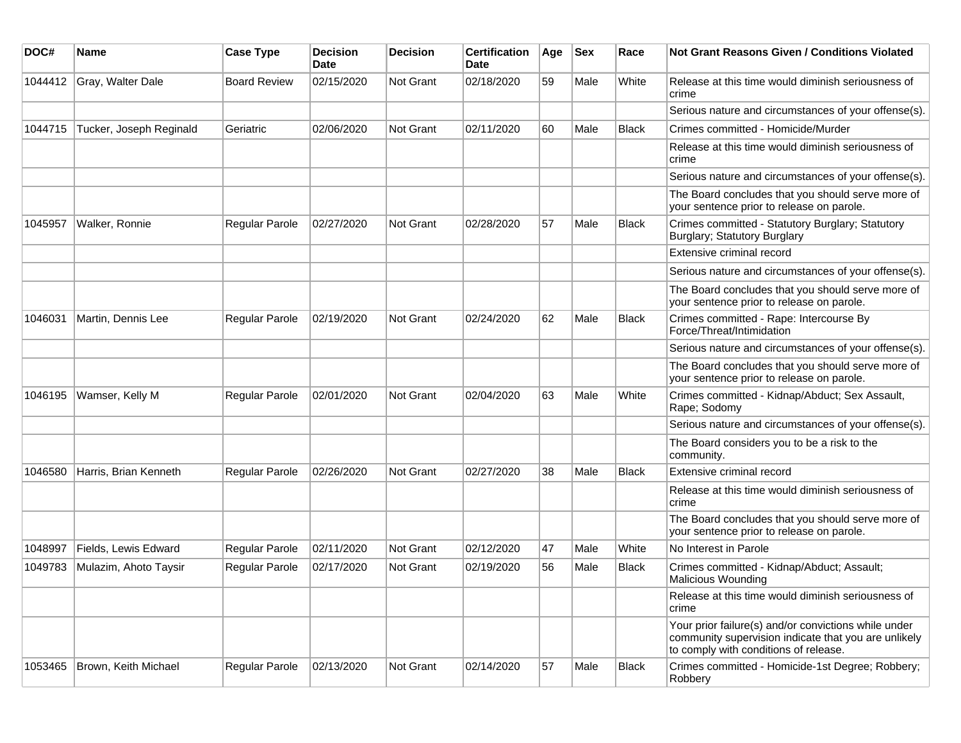| DOC#    | Name                    | <b>Case Type</b>      | <b>Decision</b><br>Date | <b>Decision</b>  | <b>Certification</b><br>Date | Age | <b>Sex</b> | Race         | Not Grant Reasons Given / Conditions Violated                                                                                                         |
|---------|-------------------------|-----------------------|-------------------------|------------------|------------------------------|-----|------------|--------------|-------------------------------------------------------------------------------------------------------------------------------------------------------|
| 1044412 | Gray, Walter Dale       | <b>Board Review</b>   | 02/15/2020              | Not Grant        | 02/18/2020                   | 59  | Male       | White        | Release at this time would diminish seriousness of<br>crime                                                                                           |
|         |                         |                       |                         |                  |                              |     |            |              | Serious nature and circumstances of your offense(s).                                                                                                  |
| 1044715 | Tucker, Joseph Reginald | Geriatric             | 02/06/2020              | <b>Not Grant</b> | 02/11/2020                   | 60  | Male       | <b>Black</b> | Crimes committed - Homicide/Murder                                                                                                                    |
|         |                         |                       |                         |                  |                              |     |            |              | Release at this time would diminish seriousness of<br>crime                                                                                           |
|         |                         |                       |                         |                  |                              |     |            |              | Serious nature and circumstances of your offense(s).                                                                                                  |
|         |                         |                       |                         |                  |                              |     |            |              | The Board concludes that you should serve more of<br>your sentence prior to release on parole.                                                        |
| 1045957 | Walker, Ronnie          | Regular Parole        | 02/27/2020              | Not Grant        | 02/28/2020                   | 57  | Male       | <b>Black</b> | Crimes committed - Statutory Burglary; Statutory<br>Burglary; Statutory Burglary                                                                      |
|         |                         |                       |                         |                  |                              |     |            |              | Extensive criminal record                                                                                                                             |
|         |                         |                       |                         |                  |                              |     |            |              | Serious nature and circumstances of your offense(s).                                                                                                  |
|         |                         |                       |                         |                  |                              |     |            |              | The Board concludes that you should serve more of<br>your sentence prior to release on parole.                                                        |
| 1046031 | Martin, Dennis Lee      | Regular Parole        | 02/19/2020              | <b>Not Grant</b> | 02/24/2020                   | 62  | Male       | Black        | Crimes committed - Rape: Intercourse By<br>Force/Threat/Intimidation                                                                                  |
|         |                         |                       |                         |                  |                              |     |            |              | Serious nature and circumstances of your offense(s).                                                                                                  |
|         |                         |                       |                         |                  |                              |     |            |              | The Board concludes that you should serve more of<br>your sentence prior to release on parole.                                                        |
| 1046195 | Wamser, Kelly M         | <b>Regular Parole</b> | 02/01/2020              | <b>Not Grant</b> | 02/04/2020                   | 63  | Male       | White        | Crimes committed - Kidnap/Abduct; Sex Assault,<br>Rape; Sodomy                                                                                        |
|         |                         |                       |                         |                  |                              |     |            |              | Serious nature and circumstances of your offense(s).                                                                                                  |
|         |                         |                       |                         |                  |                              |     |            |              | The Board considers you to be a risk to the<br>community.                                                                                             |
| 1046580 | Harris, Brian Kenneth   | Regular Parole        | 02/26/2020              | <b>Not Grant</b> | 02/27/2020                   | 38  | Male       | <b>Black</b> | Extensive criminal record                                                                                                                             |
|         |                         |                       |                         |                  |                              |     |            |              | Release at this time would diminish seriousness of<br>crime                                                                                           |
|         |                         |                       |                         |                  |                              |     |            |              | The Board concludes that you should serve more of<br>your sentence prior to release on parole.                                                        |
| 1048997 | Fields, Lewis Edward    | Regular Parole        | 02/11/2020              | <b>Not Grant</b> | 02/12/2020                   | 47  | Male       | White        | No Interest in Parole                                                                                                                                 |
| 1049783 | Mulazim, Ahoto Taysir   | <b>Regular Parole</b> | 02/17/2020              | <b>Not Grant</b> | 02/19/2020                   | 56  | Male       | <b>Black</b> | Crimes committed - Kidnap/Abduct; Assault;<br>Malicious Wounding                                                                                      |
|         |                         |                       |                         |                  |                              |     |            |              | Release at this time would diminish seriousness of<br>crime                                                                                           |
|         |                         |                       |                         |                  |                              |     |            |              | Your prior failure(s) and/or convictions while under<br>community supervision indicate that you are unlikely<br>to comply with conditions of release. |
| 1053465 | Brown, Keith Michael    | Regular Parole        | 02/13/2020              | Not Grant        | 02/14/2020                   | 57  | Male       | Black        | Crimes committed - Homicide-1st Degree; Robbery;<br>Robbery                                                                                           |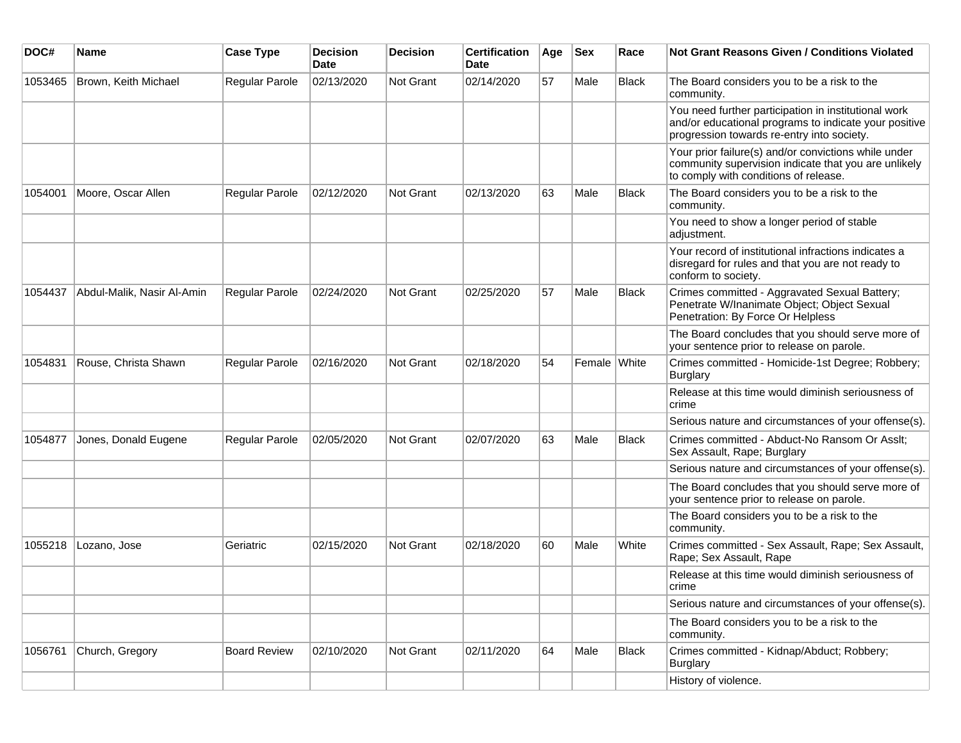| DOC#    | <b>Name</b>                | <b>Case Type</b>      | <b>Decision</b><br><b>Date</b> | <b>Decision</b> | <b>Certification</b><br><b>Date</b> | Age | <b>Sex</b>   | Race         | Not Grant Reasons Given / Conditions Violated                                                                                                               |
|---------|----------------------------|-----------------------|--------------------------------|-----------------|-------------------------------------|-----|--------------|--------------|-------------------------------------------------------------------------------------------------------------------------------------------------------------|
| 1053465 | Brown, Keith Michael       | Regular Parole        | 02/13/2020                     | Not Grant       | 02/14/2020                          | 57  | Male         | Black        | The Board considers you to be a risk to the<br>community.                                                                                                   |
|         |                            |                       |                                |                 |                                     |     |              |              | You need further participation in institutional work<br>and/or educational programs to indicate your positive<br>progression towards re-entry into society. |
|         |                            |                       |                                |                 |                                     |     |              |              | Your prior failure(s) and/or convictions while under<br>community supervision indicate that you are unlikely<br>to comply with conditions of release.       |
| 1054001 | Moore, Oscar Allen         | <b>Regular Parole</b> | 02/12/2020                     | Not Grant       | 02/13/2020                          | 63  | Male         | <b>Black</b> | The Board considers you to be a risk to the<br>community.                                                                                                   |
|         |                            |                       |                                |                 |                                     |     |              |              | You need to show a longer period of stable<br>adjustment.                                                                                                   |
|         |                            |                       |                                |                 |                                     |     |              |              | Your record of institutional infractions indicates a<br>disregard for rules and that you are not ready to<br>conform to society.                            |
| 1054437 | Abdul-Malik, Nasir Al-Amin | <b>Regular Parole</b> | 02/24/2020                     | Not Grant       | 02/25/2020                          | 57  | Male         | <b>Black</b> | Crimes committed - Aggravated Sexual Battery;<br>Penetrate W/Inanimate Object; Object Sexual<br>Penetration: By Force Or Helpless                           |
|         |                            |                       |                                |                 |                                     |     |              |              | The Board concludes that you should serve more of<br>your sentence prior to release on parole.                                                              |
| 1054831 | Rouse, Christa Shawn       | Regular Parole        | 02/16/2020                     | Not Grant       | 02/18/2020                          | 54  | Female White |              | Crimes committed - Homicide-1st Degree; Robbery;<br><b>Burglary</b>                                                                                         |
|         |                            |                       |                                |                 |                                     |     |              |              | Release at this time would diminish seriousness of<br>crime                                                                                                 |
|         |                            |                       |                                |                 |                                     |     |              |              | Serious nature and circumstances of your offense(s).                                                                                                        |
| 1054877 | Jones, Donald Eugene       | <b>Regular Parole</b> | 02/05/2020                     | Not Grant       | 02/07/2020                          | 63  | Male         | <b>Black</b> | Crimes committed - Abduct-No Ransom Or Asslt;<br>Sex Assault, Rape; Burglary                                                                                |
|         |                            |                       |                                |                 |                                     |     |              |              | Serious nature and circumstances of your offense(s).                                                                                                        |
|         |                            |                       |                                |                 |                                     |     |              |              | The Board concludes that you should serve more of<br>your sentence prior to release on parole.                                                              |
|         |                            |                       |                                |                 |                                     |     |              |              | The Board considers you to be a risk to the<br>community.                                                                                                   |
| 1055218 | Lozano, Jose               | Geriatric             | 02/15/2020                     | Not Grant       | 02/18/2020                          | 60  | Male         | White        | Crimes committed - Sex Assault, Rape; Sex Assault,<br>Rape; Sex Assault, Rape                                                                               |
|         |                            |                       |                                |                 |                                     |     |              |              | Release at this time would diminish seriousness of<br>crime                                                                                                 |
|         |                            |                       |                                |                 |                                     |     |              |              | Serious nature and circumstances of your offense(s).                                                                                                        |
|         |                            |                       |                                |                 |                                     |     |              |              | The Board considers you to be a risk to the<br>community.                                                                                                   |
| 1056761 | Church, Gregory            | <b>Board Review</b>   | 02/10/2020                     | Not Grant       | 02/11/2020                          | 64  | Male         | <b>Black</b> | Crimes committed - Kidnap/Abduct; Robbery;<br><b>Burglary</b>                                                                                               |
|         |                            |                       |                                |                 |                                     |     |              |              | History of violence.                                                                                                                                        |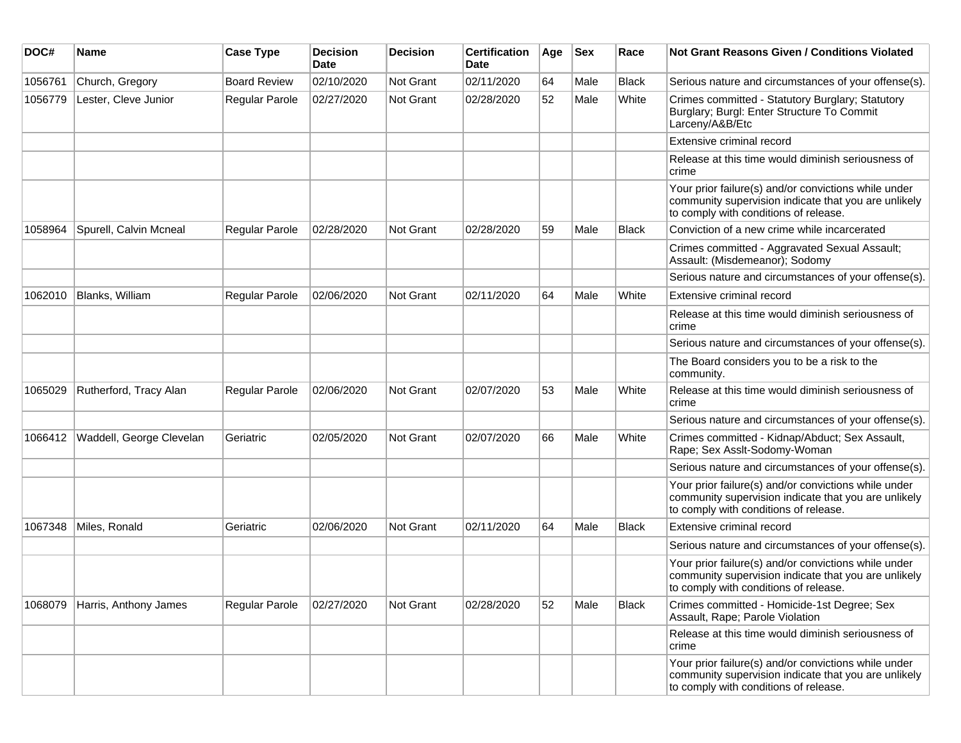| DOC#    | <b>Name</b>              | <b>Case Type</b>      | <b>Decision</b><br><b>Date</b> | <b>Decision</b> | <b>Certification</b><br>Date | Age | <b>Sex</b> | Race         | Not Grant Reasons Given / Conditions Violated                                                                                                         |
|---------|--------------------------|-----------------------|--------------------------------|-----------------|------------------------------|-----|------------|--------------|-------------------------------------------------------------------------------------------------------------------------------------------------------|
| 1056761 | Church, Gregory          | <b>Board Review</b>   | 02/10/2020                     | Not Grant       | 02/11/2020                   | 64  | Male       | <b>Black</b> | Serious nature and circumstances of your offense(s).                                                                                                  |
| 1056779 | Lester, Cleve Junior     | Regular Parole        | 02/27/2020                     | Not Grant       | 02/28/2020                   | 52  | Male       | White        | Crimes committed - Statutory Burglary; Statutory<br>Burglary; Burgl: Enter Structure To Commit<br>Larceny/A&B/Etc                                     |
|         |                          |                       |                                |                 |                              |     |            |              | Extensive criminal record                                                                                                                             |
|         |                          |                       |                                |                 |                              |     |            |              | Release at this time would diminish seriousness of<br>crime                                                                                           |
|         |                          |                       |                                |                 |                              |     |            |              | Your prior failure(s) and/or convictions while under<br>community supervision indicate that you are unlikely<br>to comply with conditions of release. |
| 1058964 | Spurell, Calvin Mcneal   | Regular Parole        | 02/28/2020                     | Not Grant       | 02/28/2020                   | 59  | Male       | <b>Black</b> | Conviction of a new crime while incarcerated                                                                                                          |
|         |                          |                       |                                |                 |                              |     |            |              | Crimes committed - Aggravated Sexual Assault;<br>Assault: (Misdemeanor); Sodomy                                                                       |
|         |                          |                       |                                |                 |                              |     |            |              | Serious nature and circumstances of your offense(s).                                                                                                  |
| 1062010 | Blanks, William          | <b>Regular Parole</b> | 02/06/2020                     | Not Grant       | 02/11/2020                   | 64  | Male       | White        | Extensive criminal record                                                                                                                             |
|         |                          |                       |                                |                 |                              |     |            |              | Release at this time would diminish seriousness of<br>crime                                                                                           |
|         |                          |                       |                                |                 |                              |     |            |              | Serious nature and circumstances of your offense(s).                                                                                                  |
|         |                          |                       |                                |                 |                              |     |            |              | The Board considers you to be a risk to the<br>community.                                                                                             |
| 1065029 | Rutherford, Tracy Alan   | <b>Regular Parole</b> | 02/06/2020                     | Not Grant       | 02/07/2020                   | 53  | Male       | White        | Release at this time would diminish seriousness of<br>crime                                                                                           |
|         |                          |                       |                                |                 |                              |     |            |              | Serious nature and circumstances of your offense(s).                                                                                                  |
| 1066412 | Waddell, George Clevelan | Geriatric             | 02/05/2020                     | Not Grant       | 02/07/2020                   | 66  | Male       | White        | Crimes committed - Kidnap/Abduct; Sex Assault,<br>Rape; Sex Asslt-Sodomy-Woman                                                                        |
|         |                          |                       |                                |                 |                              |     |            |              | Serious nature and circumstances of your offense(s).                                                                                                  |
|         |                          |                       |                                |                 |                              |     |            |              | Your prior failure(s) and/or convictions while under<br>community supervision indicate that you are unlikely<br>to comply with conditions of release. |
| 1067348 | Miles, Ronald            | Geriatric             | 02/06/2020                     | Not Grant       | 02/11/2020                   | 64  | Male       | <b>Black</b> | Extensive criminal record                                                                                                                             |
|         |                          |                       |                                |                 |                              |     |            |              | Serious nature and circumstances of your offense(s).                                                                                                  |
|         |                          |                       |                                |                 |                              |     |            |              | Your prior failure(s) and/or convictions while under<br>community supervision indicate that you are unlikely<br>to comply with conditions of release. |
| 1068079 | Harris, Anthony James    | <b>Regular Parole</b> | 02/27/2020                     | Not Grant       | 02/28/2020                   | 52  | Male       | <b>Black</b> | Crimes committed - Homicide-1st Degree; Sex<br>Assault, Rape; Parole Violation                                                                        |
|         |                          |                       |                                |                 |                              |     |            |              | Release at this time would diminish seriousness of<br>crime                                                                                           |
|         |                          |                       |                                |                 |                              |     |            |              | Your prior failure(s) and/or convictions while under<br>community supervision indicate that you are unlikely<br>to comply with conditions of release. |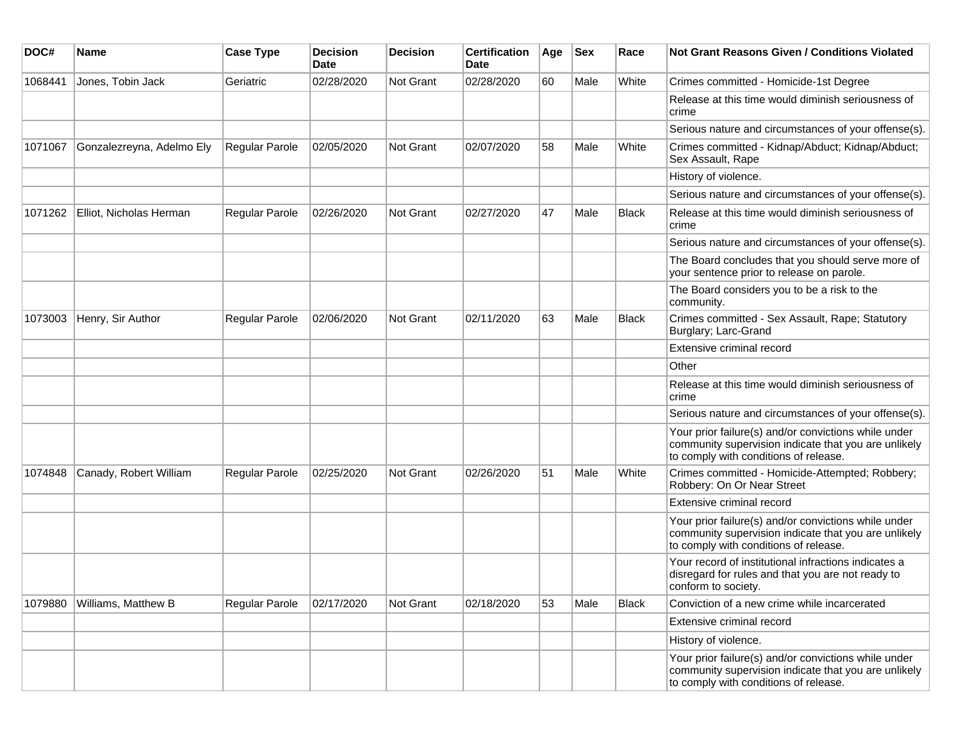| DOC#    | <b>Name</b>               | <b>Case Type</b>      | <b>Decision</b><br><b>Date</b> | <b>Decision</b>  | <b>Certification</b><br>Date | Age | <b>Sex</b> | Race         | <b>Not Grant Reasons Given / Conditions Violated</b>                                                                                                  |
|---------|---------------------------|-----------------------|--------------------------------|------------------|------------------------------|-----|------------|--------------|-------------------------------------------------------------------------------------------------------------------------------------------------------|
| 1068441 | Jones, Tobin Jack         | Geriatric             | 02/28/2020                     | <b>Not Grant</b> | 02/28/2020                   | 60  | Male       | White        | Crimes committed - Homicide-1st Degree                                                                                                                |
|         |                           |                       |                                |                  |                              |     |            |              | Release at this time would diminish seriousness of<br>crime                                                                                           |
|         |                           |                       |                                |                  |                              |     |            |              | Serious nature and circumstances of your offense(s).                                                                                                  |
| 1071067 | Gonzalezreyna, Adelmo Ely | <b>Regular Parole</b> | 02/05/2020                     | <b>Not Grant</b> | 02/07/2020                   | 58  | Male       | White        | Crimes committed - Kidnap/Abduct; Kidnap/Abduct;<br>Sex Assault, Rape                                                                                 |
|         |                           |                       |                                |                  |                              |     |            |              | History of violence.                                                                                                                                  |
|         |                           |                       |                                |                  |                              |     |            |              | Serious nature and circumstances of your offense(s).                                                                                                  |
| 1071262 | Elliot, Nicholas Herman   | Regular Parole        | 02/26/2020                     | <b>Not Grant</b> | 02/27/2020                   | 47  | Male       | <b>Black</b> | Release at this time would diminish seriousness of<br>crime                                                                                           |
|         |                           |                       |                                |                  |                              |     |            |              | Serious nature and circumstances of your offense(s).                                                                                                  |
|         |                           |                       |                                |                  |                              |     |            |              | The Board concludes that you should serve more of<br>your sentence prior to release on parole.                                                        |
|         |                           |                       |                                |                  |                              |     |            |              | The Board considers you to be a risk to the<br>community.                                                                                             |
| 1073003 | Henry, Sir Author         | <b>Regular Parole</b> | 02/06/2020                     | Not Grant        | 02/11/2020                   | 63  | Male       | <b>Black</b> | Crimes committed - Sex Assault, Rape; Statutory<br>Burglary; Larc-Grand                                                                               |
|         |                           |                       |                                |                  |                              |     |            |              | Extensive criminal record                                                                                                                             |
|         |                           |                       |                                |                  |                              |     |            |              | Other                                                                                                                                                 |
|         |                           |                       |                                |                  |                              |     |            |              | Release at this time would diminish seriousness of<br>crime                                                                                           |
|         |                           |                       |                                |                  |                              |     |            |              | Serious nature and circumstances of your offense(s).                                                                                                  |
|         |                           |                       |                                |                  |                              |     |            |              | Your prior failure(s) and/or convictions while under<br>community supervision indicate that you are unlikely<br>to comply with conditions of release. |
| 1074848 | Canady, Robert William    | <b>Regular Parole</b> | 02/25/2020                     | Not Grant        | 02/26/2020                   | 51  | Male       | White        | Crimes committed - Homicide-Attempted; Robbery;<br>Robbery: On Or Near Street                                                                         |
|         |                           |                       |                                |                  |                              |     |            |              | Extensive criminal record                                                                                                                             |
|         |                           |                       |                                |                  |                              |     |            |              | Your prior failure(s) and/or convictions while under<br>community supervision indicate that you are unlikely<br>to comply with conditions of release. |
|         |                           |                       |                                |                  |                              |     |            |              | Your record of institutional infractions indicates a<br>disregard for rules and that you are not ready to<br>conform to society.                      |
| 1079880 | Williams, Matthew B       | Regular Parole        | 02/17/2020                     | Not Grant        | 02/18/2020                   | 53  | Male       | Black        | Conviction of a new crime while incarcerated                                                                                                          |
|         |                           |                       |                                |                  |                              |     |            |              | Extensive criminal record                                                                                                                             |
|         |                           |                       |                                |                  |                              |     |            |              | History of violence.                                                                                                                                  |
|         |                           |                       |                                |                  |                              |     |            |              | Your prior failure(s) and/or convictions while under<br>community supervision indicate that you are unlikely<br>to comply with conditions of release. |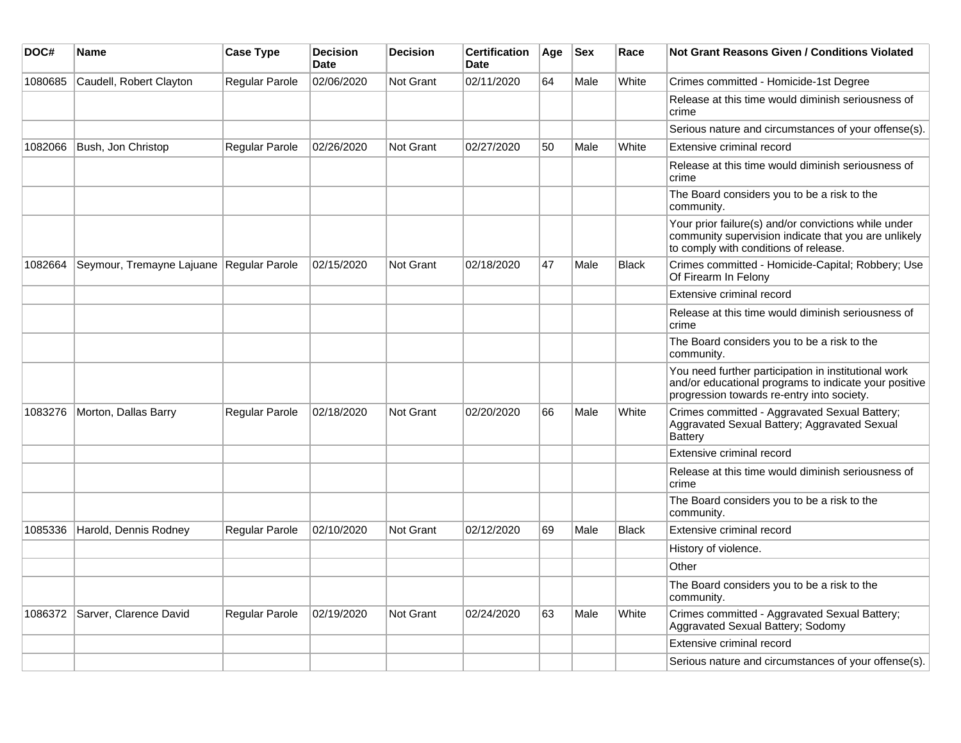| DOC#    | Name                                     | <b>Case Type</b>      | <b>Decision</b><br>Date | <b>Decision</b>  | <b>Certification</b><br>Date | Age | <b>Sex</b> | Race         | Not Grant Reasons Given / Conditions Violated                                                                                                               |
|---------|------------------------------------------|-----------------------|-------------------------|------------------|------------------------------|-----|------------|--------------|-------------------------------------------------------------------------------------------------------------------------------------------------------------|
| 1080685 | Caudell, Robert Clayton                  | Regular Parole        | 02/06/2020              | Not Grant        | 02/11/2020                   | 64  | Male       | White        | Crimes committed - Homicide-1st Degree                                                                                                                      |
|         |                                          |                       |                         |                  |                              |     |            |              | Release at this time would diminish seriousness of<br>crime                                                                                                 |
|         |                                          |                       |                         |                  |                              |     |            |              | Serious nature and circumstances of your offense(s).                                                                                                        |
| 1082066 | Bush, Jon Christop                       | <b>Regular Parole</b> | 02/26/2020              | Not Grant        | 02/27/2020                   | 50  | Male       | White        | Extensive criminal record                                                                                                                                   |
|         |                                          |                       |                         |                  |                              |     |            |              | Release at this time would diminish seriousness of<br>crime                                                                                                 |
|         |                                          |                       |                         |                  |                              |     |            |              | The Board considers you to be a risk to the<br>community.                                                                                                   |
|         |                                          |                       |                         |                  |                              |     |            |              | Your prior failure(s) and/or convictions while under<br>community supervision indicate that you are unlikely<br>to comply with conditions of release.       |
| 1082664 | Seymour, Tremayne Lajuane Regular Parole |                       | 02/15/2020              | Not Grant        | 02/18/2020                   | 47  | Male       | <b>Black</b> | Crimes committed - Homicide-Capital; Robbery; Use<br>Of Firearm In Felony                                                                                   |
|         |                                          |                       |                         |                  |                              |     |            |              | Extensive criminal record                                                                                                                                   |
|         |                                          |                       |                         |                  |                              |     |            |              | Release at this time would diminish seriousness of<br>crime                                                                                                 |
|         |                                          |                       |                         |                  |                              |     |            |              | The Board considers you to be a risk to the<br>community.                                                                                                   |
|         |                                          |                       |                         |                  |                              |     |            |              | You need further participation in institutional work<br>and/or educational programs to indicate your positive<br>progression towards re-entry into society. |
| 1083276 | Morton, Dallas Barry                     | Regular Parole        | 02/18/2020              | <b>Not Grant</b> | 02/20/2020                   | 66  | Male       | White        | Crimes committed - Aggravated Sexual Battery;<br>Aggravated Sexual Battery; Aggravated Sexual<br><b>Battery</b>                                             |
|         |                                          |                       |                         |                  |                              |     |            |              | Extensive criminal record                                                                                                                                   |
|         |                                          |                       |                         |                  |                              |     |            |              | Release at this time would diminish seriousness of<br>crime                                                                                                 |
|         |                                          |                       |                         |                  |                              |     |            |              | The Board considers you to be a risk to the<br>community.                                                                                                   |
| 1085336 | Harold, Dennis Rodney                    | <b>Regular Parole</b> | 02/10/2020              | Not Grant        | 02/12/2020                   | 69  | Male       | <b>Black</b> | Extensive criminal record                                                                                                                                   |
|         |                                          |                       |                         |                  |                              |     |            |              | History of violence.                                                                                                                                        |
|         |                                          |                       |                         |                  |                              |     |            |              | Other                                                                                                                                                       |
|         |                                          |                       |                         |                  |                              |     |            |              | The Board considers you to be a risk to the<br>community.                                                                                                   |
| 1086372 | Sarver, Clarence David                   | <b>Regular Parole</b> | 02/19/2020              | Not Grant        | 02/24/2020                   | 63  | Male       | White        | Crimes committed - Aggravated Sexual Battery;<br>Aggravated Sexual Battery; Sodomy                                                                          |
|         |                                          |                       |                         |                  |                              |     |            |              | Extensive criminal record                                                                                                                                   |
|         |                                          |                       |                         |                  |                              |     |            |              | Serious nature and circumstances of your offense(s).                                                                                                        |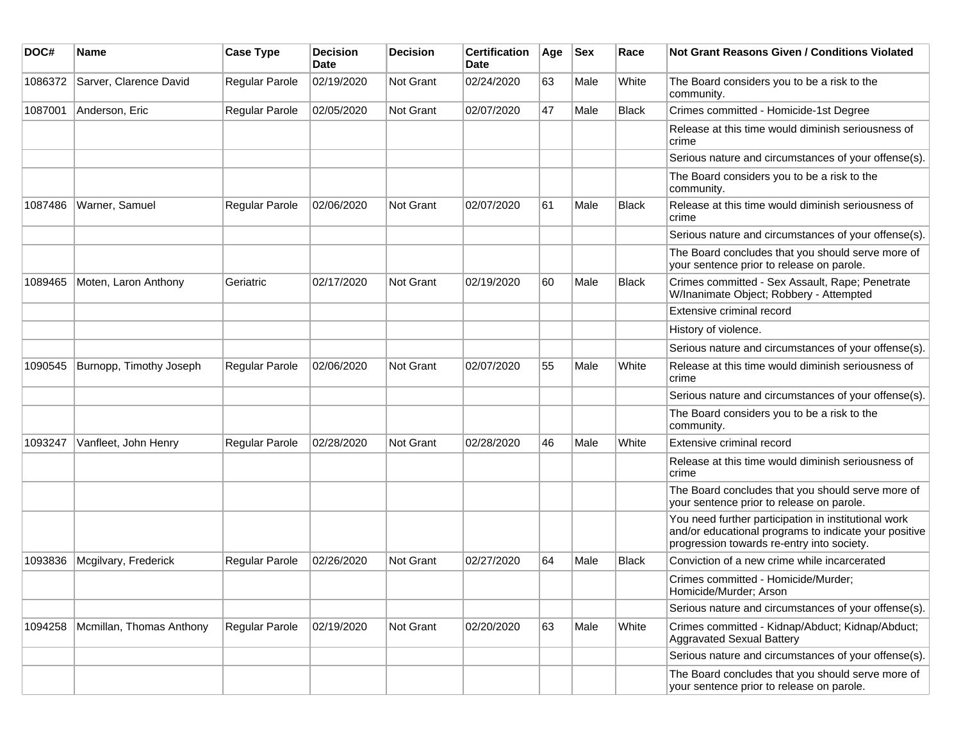| DOC#    | Name                     | <b>Case Type</b>      | <b>Decision</b><br><b>Date</b> | <b>Decision</b>  | <b>Certification</b><br>Date | Age | <b>Sex</b> | Race         | <b>Not Grant Reasons Given / Conditions Violated</b>                                                                                                        |
|---------|--------------------------|-----------------------|--------------------------------|------------------|------------------------------|-----|------------|--------------|-------------------------------------------------------------------------------------------------------------------------------------------------------------|
| 1086372 | Sarver, Clarence David   | Regular Parole        | 02/19/2020                     | Not Grant        | 02/24/2020                   | 63  | Male       | White        | The Board considers you to be a risk to the<br>community.                                                                                                   |
| 1087001 | Anderson, Eric           | Regular Parole        | 02/05/2020                     | Not Grant        | 02/07/2020                   | 47  | Male       | <b>Black</b> | Crimes committed - Homicide-1st Degree                                                                                                                      |
|         |                          |                       |                                |                  |                              |     |            |              | Release at this time would diminish seriousness of<br>crime                                                                                                 |
|         |                          |                       |                                |                  |                              |     |            |              | Serious nature and circumstances of your offense(s).                                                                                                        |
|         |                          |                       |                                |                  |                              |     |            |              | The Board considers you to be a risk to the<br>community.                                                                                                   |
| 1087486 | Warner, Samuel           | <b>Regular Parole</b> | 02/06/2020                     | Not Grant        | 02/07/2020                   | 61  | Male       | <b>Black</b> | Release at this time would diminish seriousness of<br>crime                                                                                                 |
|         |                          |                       |                                |                  |                              |     |            |              | Serious nature and circumstances of your offense(s).                                                                                                        |
|         |                          |                       |                                |                  |                              |     |            |              | The Board concludes that you should serve more of<br>your sentence prior to release on parole.                                                              |
| 1089465 | Moten, Laron Anthony     | Geriatric             | 02/17/2020                     | <b>Not Grant</b> | 02/19/2020                   | 60  | Male       | <b>Black</b> | Crimes committed - Sex Assault, Rape; Penetrate<br>W/Inanimate Object; Robbery - Attempted                                                                  |
|         |                          |                       |                                |                  |                              |     |            |              | Extensive criminal record                                                                                                                                   |
|         |                          |                       |                                |                  |                              |     |            |              | History of violence.                                                                                                                                        |
|         |                          |                       |                                |                  |                              |     |            |              | Serious nature and circumstances of your offense(s).                                                                                                        |
| 1090545 | Burnopp, Timothy Joseph  | <b>Regular Parole</b> | 02/06/2020                     | <b>Not Grant</b> | 02/07/2020                   | 55  | Male       | White        | Release at this time would diminish seriousness of<br>crime                                                                                                 |
|         |                          |                       |                                |                  |                              |     |            |              | Serious nature and circumstances of your offense(s).                                                                                                        |
|         |                          |                       |                                |                  |                              |     |            |              | The Board considers you to be a risk to the<br>community.                                                                                                   |
| 1093247 | Vanfleet, John Henry     | Regular Parole        | 02/28/2020                     | <b>Not Grant</b> | 02/28/2020                   | 46  | Male       | White        | Extensive criminal record                                                                                                                                   |
|         |                          |                       |                                |                  |                              |     |            |              | Release at this time would diminish seriousness of<br>crime                                                                                                 |
|         |                          |                       |                                |                  |                              |     |            |              | The Board concludes that you should serve more of<br>your sentence prior to release on parole.                                                              |
|         |                          |                       |                                |                  |                              |     |            |              | You need further participation in institutional work<br>and/or educational programs to indicate your positive<br>progression towards re-entry into society. |
| 1093836 | Mcgilvary, Frederick     | <b>Regular Parole</b> | 02/26/2020                     | <b>Not Grant</b> | 02/27/2020                   | 64  | Male       | Black        | Conviction of a new crime while incarcerated                                                                                                                |
|         |                          |                       |                                |                  |                              |     |            |              | Crimes committed - Homicide/Murder;<br>Homicide/Murder; Arson                                                                                               |
|         |                          |                       |                                |                  |                              |     |            |              | Serious nature and circumstances of your offense(s).                                                                                                        |
| 1094258 | Mcmillan, Thomas Anthony | Regular Parole        | 02/19/2020                     | Not Grant        | 02/20/2020                   | 63  | Male       | White        | Crimes committed - Kidnap/Abduct; Kidnap/Abduct;<br>Aggravated Sexual Battery                                                                               |
|         |                          |                       |                                |                  |                              |     |            |              | Serious nature and circumstances of your offense(s).                                                                                                        |
|         |                          |                       |                                |                  |                              |     |            |              | The Board concludes that you should serve more of<br>your sentence prior to release on parole.                                                              |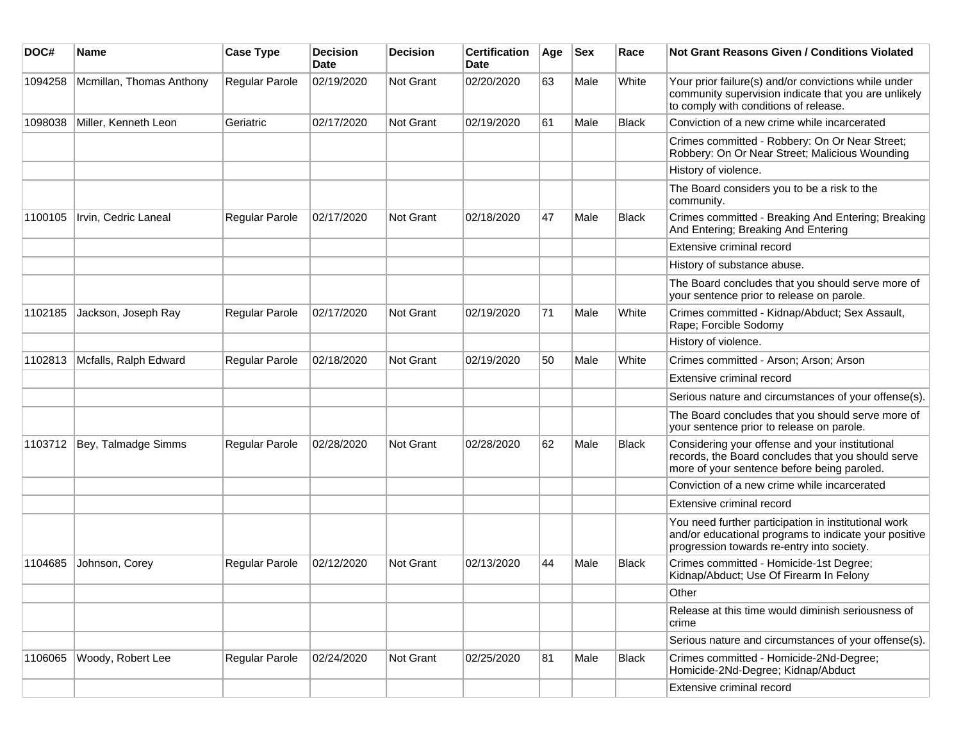| DOC#    | <b>Name</b>              | <b>Case Type</b> | <b>Decision</b><br>Date | <b>Decision</b> | <b>Certification</b><br>Date | Age | <b>Sex</b> | Race         | Not Grant Reasons Given / Conditions Violated                                                                                                               |
|---------|--------------------------|------------------|-------------------------|-----------------|------------------------------|-----|------------|--------------|-------------------------------------------------------------------------------------------------------------------------------------------------------------|
| 1094258 | Mcmillan, Thomas Anthony | Regular Parole   | 02/19/2020              | Not Grant       | 02/20/2020                   | 63  | Male       | White        | Your prior failure(s) and/or convictions while under<br>community supervision indicate that you are unlikely<br>to comply with conditions of release.       |
| 1098038 | Miller, Kenneth Leon     | Geriatric        | 02/17/2020              | Not Grant       | 02/19/2020                   | 61  | Male       | Black        | Conviction of a new crime while incarcerated                                                                                                                |
|         |                          |                  |                         |                 |                              |     |            |              | Crimes committed - Robbery: On Or Near Street;<br>Robbery: On Or Near Street; Malicious Wounding                                                            |
|         |                          |                  |                         |                 |                              |     |            |              | History of violence.                                                                                                                                        |
|         |                          |                  |                         |                 |                              |     |            |              | The Board considers you to be a risk to the<br>community.                                                                                                   |
| 1100105 | Irvin, Cedric Laneal     | Regular Parole   | 02/17/2020              | Not Grant       | 02/18/2020                   | 47  | Male       | <b>Black</b> | Crimes committed - Breaking And Entering; Breaking<br>And Entering; Breaking And Entering                                                                   |
|         |                          |                  |                         |                 |                              |     |            |              | Extensive criminal record                                                                                                                                   |
|         |                          |                  |                         |                 |                              |     |            |              | History of substance abuse.                                                                                                                                 |
|         |                          |                  |                         |                 |                              |     |            |              | The Board concludes that you should serve more of<br>your sentence prior to release on parole.                                                              |
| 1102185 | Jackson, Joseph Ray      | Regular Parole   | 02/17/2020              | Not Grant       | 02/19/2020                   | 71  | Male       | White        | Crimes committed - Kidnap/Abduct; Sex Assault,<br>Rape; Forcible Sodomy                                                                                     |
|         |                          |                  |                         |                 |                              |     |            |              | History of violence.                                                                                                                                        |
| 1102813 | Mcfalls, Ralph Edward    | Regular Parole   | 02/18/2020              | Not Grant       | 02/19/2020                   | 50  | Male       | White        | Crimes committed - Arson; Arson; Arson                                                                                                                      |
|         |                          |                  |                         |                 |                              |     |            |              | Extensive criminal record                                                                                                                                   |
|         |                          |                  |                         |                 |                              |     |            |              | Serious nature and circumstances of your offense(s).                                                                                                        |
|         |                          |                  |                         |                 |                              |     |            |              | The Board concludes that you should serve more of<br>your sentence prior to release on parole.                                                              |
| 1103712 | Bey, Talmadge Simms      | Regular Parole   | 02/28/2020              | Not Grant       | 02/28/2020                   | 62  | Male       | <b>Black</b> | Considering your offense and your institutional<br>records, the Board concludes that you should serve<br>more of your sentence before being paroled.        |
|         |                          |                  |                         |                 |                              |     |            |              | Conviction of a new crime while incarcerated                                                                                                                |
|         |                          |                  |                         |                 |                              |     |            |              | Extensive criminal record                                                                                                                                   |
|         |                          |                  |                         |                 |                              |     |            |              | You need further participation in institutional work<br>and/or educational programs to indicate your positive<br>progression towards re-entry into society. |
| 1104685 | Johnson, Corey           | Regular Parole   | 02/12/2020              | Not Grant       | 02/13/2020                   | 44  | Male       | <b>Black</b> | Crimes committed - Homicide-1st Degree;<br>Kidnap/Abduct; Use Of Firearm In Felony                                                                          |
|         |                          |                  |                         |                 |                              |     |            |              | Other                                                                                                                                                       |
|         |                          |                  |                         |                 |                              |     |            |              | Release at this time would diminish seriousness of<br>crime                                                                                                 |
|         |                          |                  |                         |                 |                              |     |            |              | Serious nature and circumstances of your offense(s).                                                                                                        |
| 1106065 | Woody, Robert Lee        | Regular Parole   | 02/24/2020              | Not Grant       | 02/25/2020                   | 81  | Male       | <b>Black</b> | Crimes committed - Homicide-2Nd-Degree;<br>Homicide-2Nd-Degree; Kidnap/Abduct                                                                               |
|         |                          |                  |                         |                 |                              |     |            |              | Extensive criminal record                                                                                                                                   |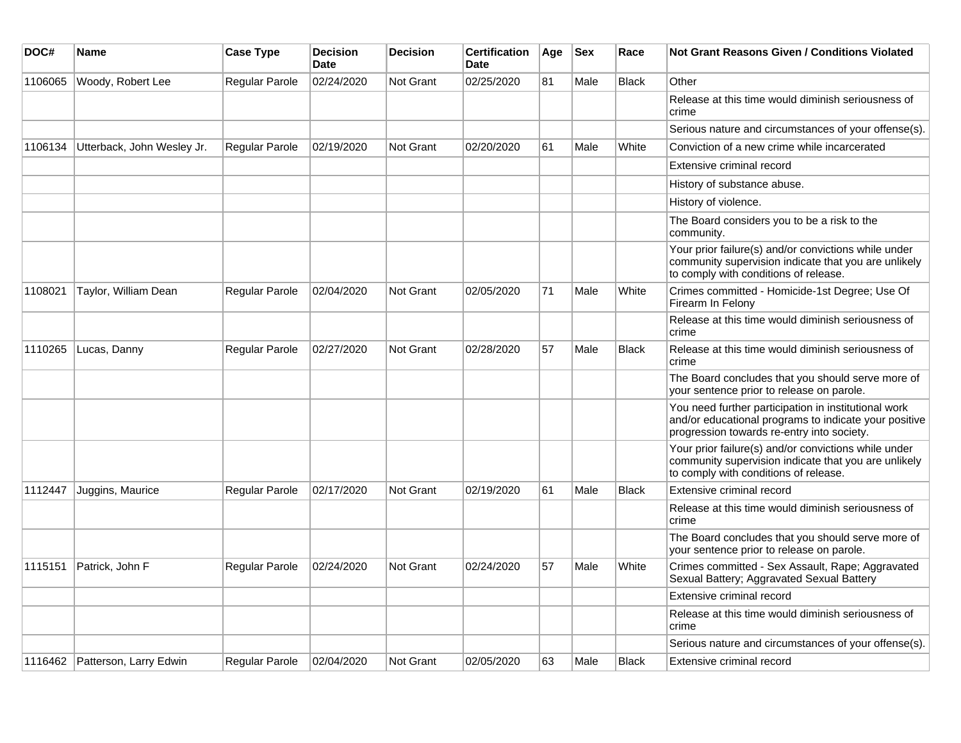| DOC#    | Name                           | <b>Case Type</b> | <b>Decision</b><br><b>Date</b> | <b>Decision</b> | <b>Certification</b><br><b>Date</b> | Age | $ $ Sex | Race         | Not Grant Reasons Given / Conditions Violated                                                                                                               |
|---------|--------------------------------|------------------|--------------------------------|-----------------|-------------------------------------|-----|---------|--------------|-------------------------------------------------------------------------------------------------------------------------------------------------------------|
| 1106065 | Woody, Robert Lee              | Regular Parole   | 02/24/2020                     | Not Grant       | 02/25/2020                          | 81  | Male    | <b>Black</b> | Other                                                                                                                                                       |
|         |                                |                  |                                |                 |                                     |     |         |              | Release at this time would diminish seriousness of<br>crime                                                                                                 |
|         |                                |                  |                                |                 |                                     |     |         |              | Serious nature and circumstances of your offense(s).                                                                                                        |
| 1106134 | Utterback, John Wesley Jr.     | Regular Parole   | 02/19/2020                     | Not Grant       | 02/20/2020                          | 61  | Male    | White        | Conviction of a new crime while incarcerated                                                                                                                |
|         |                                |                  |                                |                 |                                     |     |         |              | Extensive criminal record                                                                                                                                   |
|         |                                |                  |                                |                 |                                     |     |         |              | History of substance abuse.                                                                                                                                 |
|         |                                |                  |                                |                 |                                     |     |         |              | History of violence.                                                                                                                                        |
|         |                                |                  |                                |                 |                                     |     |         |              | The Board considers you to be a risk to the<br>community.                                                                                                   |
|         |                                |                  |                                |                 |                                     |     |         |              | Your prior failure(s) and/or convictions while under<br>community supervision indicate that you are unlikely<br>to comply with conditions of release.       |
| 1108021 | Taylor, William Dean           | Regular Parole   | 02/04/2020                     | Not Grant       | 02/05/2020                          | 71  | Male    | White        | Crimes committed - Homicide-1st Degree; Use Of<br>Firearm In Felony                                                                                         |
|         |                                |                  |                                |                 |                                     |     |         |              | Release at this time would diminish seriousness of<br>crime                                                                                                 |
| 1110265 | Lucas, Danny                   | Regular Parole   | 02/27/2020                     | Not Grant       | 02/28/2020                          | 57  | Male    | <b>Black</b> | Release at this time would diminish seriousness of<br>crime                                                                                                 |
|         |                                |                  |                                |                 |                                     |     |         |              | The Board concludes that you should serve more of<br>your sentence prior to release on parole.                                                              |
|         |                                |                  |                                |                 |                                     |     |         |              | You need further participation in institutional work<br>and/or educational programs to indicate your positive<br>progression towards re-entry into society. |
|         |                                |                  |                                |                 |                                     |     |         |              | Your prior failure(s) and/or convictions while under<br>community supervision indicate that you are unlikely<br>to comply with conditions of release.       |
| 1112447 | Juggins, Maurice               | Regular Parole   | 02/17/2020                     | Not Grant       | 02/19/2020                          | 61  | Male    | <b>Black</b> | Extensive criminal record                                                                                                                                   |
|         |                                |                  |                                |                 |                                     |     |         |              | Release at this time would diminish seriousness of<br>crime                                                                                                 |
|         |                                |                  |                                |                 |                                     |     |         |              | The Board concludes that you should serve more of<br>your sentence prior to release on parole.                                                              |
| 1115151 | Patrick, John F                | Regular Parole   | 02/24/2020                     | Not Grant       | 02/24/2020                          | 57  | Male    | White        | Crimes committed - Sex Assault, Rape; Aggravated<br>Sexual Battery; Aggravated Sexual Battery                                                               |
|         |                                |                  |                                |                 |                                     |     |         |              | Extensive criminal record                                                                                                                                   |
|         |                                |                  |                                |                 |                                     |     |         |              | Release at this time would diminish seriousness of<br>crime                                                                                                 |
|         |                                |                  |                                |                 |                                     |     |         |              | Serious nature and circumstances of your offense(s).                                                                                                        |
|         | 1116462 Patterson, Larry Edwin | Regular Parole   | 02/04/2020                     | Not Grant       | 02/05/2020                          | 63  | Male    | <b>Black</b> | Extensive criminal record                                                                                                                                   |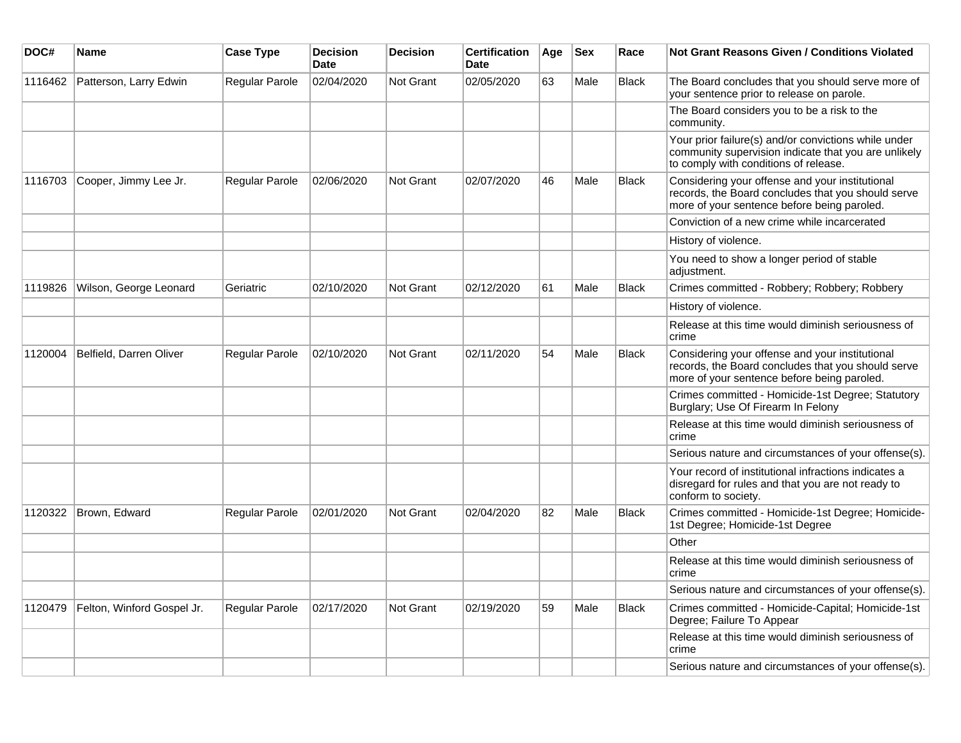| DOC#    | <b>Name</b>                | <b>Case Type</b> | <b>Decision</b><br><b>Date</b> | <b>Decision</b>  | <b>Certification</b><br><b>Date</b> | Age | <b>Sex</b> | Race         | <b>Not Grant Reasons Given / Conditions Violated</b>                                                                                                  |
|---------|----------------------------|------------------|--------------------------------|------------------|-------------------------------------|-----|------------|--------------|-------------------------------------------------------------------------------------------------------------------------------------------------------|
| 1116462 | Patterson, Larry Edwin     | Regular Parole   | 02/04/2020                     | Not Grant        | 02/05/2020                          | 63  | Male       | <b>Black</b> | The Board concludes that you should serve more of<br>your sentence prior to release on parole.                                                        |
|         |                            |                  |                                |                  |                                     |     |            |              | The Board considers you to be a risk to the<br>community.                                                                                             |
|         |                            |                  |                                |                  |                                     |     |            |              | Your prior failure(s) and/or convictions while under<br>community supervision indicate that you are unlikely<br>to comply with conditions of release. |
| 1116703 | Cooper, Jimmy Lee Jr.      | Regular Parole   | 02/06/2020                     | <b>Not Grant</b> | 02/07/2020                          | 46  | Male       | <b>Black</b> | Considering your offense and your institutional<br>records, the Board concludes that you should serve<br>more of your sentence before being paroled.  |
|         |                            |                  |                                |                  |                                     |     |            |              | Conviction of a new crime while incarcerated                                                                                                          |
|         |                            |                  |                                |                  |                                     |     |            |              | History of violence.                                                                                                                                  |
|         |                            |                  |                                |                  |                                     |     |            |              | You need to show a longer period of stable<br>adjustment.                                                                                             |
| 1119826 | Wilson, George Leonard     | Geriatric        | 02/10/2020                     | <b>Not Grant</b> | 02/12/2020                          | 61  | Male       | <b>Black</b> | Crimes committed - Robbery; Robbery; Robbery                                                                                                          |
|         |                            |                  |                                |                  |                                     |     |            |              | History of violence.                                                                                                                                  |
|         |                            |                  |                                |                  |                                     |     |            |              | Release at this time would diminish seriousness of<br>crime                                                                                           |
| 1120004 | Belfield, Darren Oliver    | Regular Parole   | 02/10/2020                     | <b>Not Grant</b> | 02/11/2020                          | 54  | Male       | <b>Black</b> | Considering your offense and your institutional<br>records, the Board concludes that you should serve<br>more of your sentence before being paroled.  |
|         |                            |                  |                                |                  |                                     |     |            |              | Crimes committed - Homicide-1st Degree; Statutory<br>Burglary; Use Of Firearm In Felony                                                               |
|         |                            |                  |                                |                  |                                     |     |            |              | Release at this time would diminish seriousness of<br>crime                                                                                           |
|         |                            |                  |                                |                  |                                     |     |            |              | Serious nature and circumstances of your offense(s).                                                                                                  |
|         |                            |                  |                                |                  |                                     |     |            |              | Your record of institutional infractions indicates a<br>disregard for rules and that you are not ready to<br>conform to society.                      |
| 1120322 | Brown, Edward              | Regular Parole   | 02/01/2020                     | <b>Not Grant</b> | 02/04/2020                          | 82  | Male       | <b>Black</b> | Crimes committed - Homicide-1st Degree; Homicide-<br>1st Degree; Homicide-1st Degree                                                                  |
|         |                            |                  |                                |                  |                                     |     |            |              | Other                                                                                                                                                 |
|         |                            |                  |                                |                  |                                     |     |            |              | Release at this time would diminish seriousness of<br>crime                                                                                           |
|         |                            |                  |                                |                  |                                     |     |            |              | Serious nature and circumstances of your offense(s).                                                                                                  |
| 1120479 | Felton, Winford Gospel Jr. | Regular Parole   | 02/17/2020                     | <b>Not Grant</b> | 02/19/2020                          | 59  | Male       | <b>Black</b> | Crimes committed - Homicide-Capital; Homicide-1st<br>Degree; Failure To Appear                                                                        |
|         |                            |                  |                                |                  |                                     |     |            |              | Release at this time would diminish seriousness of<br>crime                                                                                           |
|         |                            |                  |                                |                  |                                     |     |            |              | Serious nature and circumstances of your offense(s).                                                                                                  |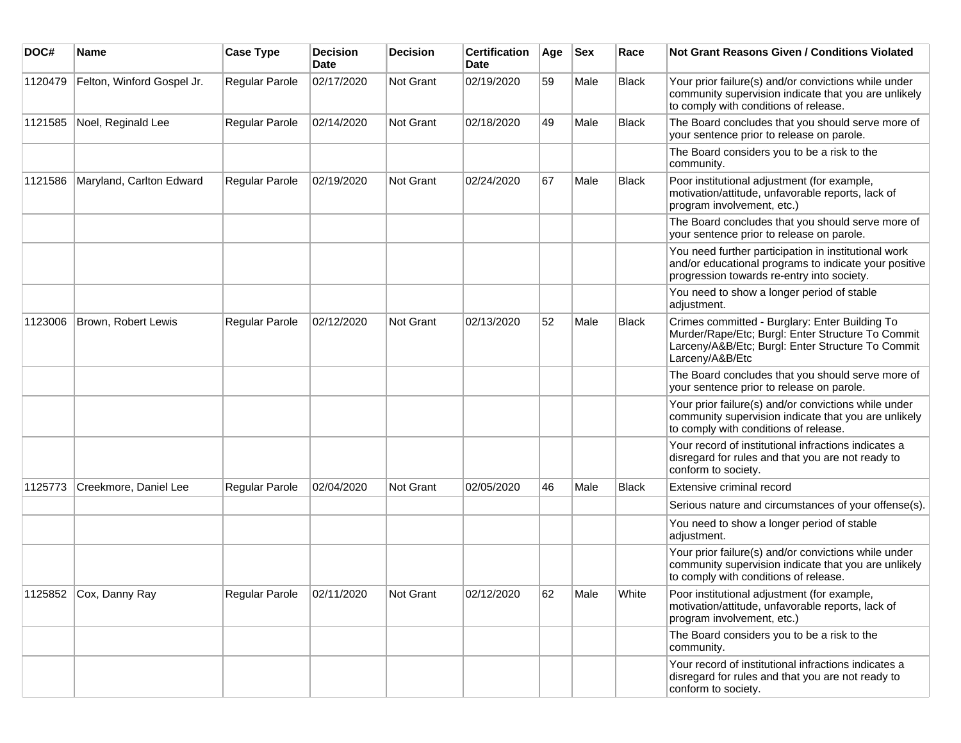| DOC#    | <b>Name</b>                | <b>Case Type</b>      | <b>Decision</b><br><b>Date</b> | <b>Decision</b> | <b>Certification</b><br>Date | Age | <b>Sex</b> | Race         | <b>Not Grant Reasons Given / Conditions Violated</b>                                                                                                                        |
|---------|----------------------------|-----------------------|--------------------------------|-----------------|------------------------------|-----|------------|--------------|-----------------------------------------------------------------------------------------------------------------------------------------------------------------------------|
| 1120479 | Felton, Winford Gospel Jr. | Regular Parole        | 02/17/2020                     | Not Grant       | 02/19/2020                   | 59  | Male       | Black        | Your prior failure(s) and/or convictions while under<br>community supervision indicate that you are unlikely<br>to comply with conditions of release.                       |
| 1121585 | Noel, Reginald Lee         | Regular Parole        | 02/14/2020                     | Not Grant       | 02/18/2020                   | 49  | Male       | <b>Black</b> | The Board concludes that you should serve more of<br>your sentence prior to release on parole.                                                                              |
|         |                            |                       |                                |                 |                              |     |            |              | The Board considers you to be a risk to the<br>community.                                                                                                                   |
| 1121586 | Maryland, Carlton Edward   | Regular Parole        | 02/19/2020                     | Not Grant       | 02/24/2020                   | 67  | Male       | <b>Black</b> | Poor institutional adjustment (for example,<br>motivation/attitude, unfavorable reports, lack of<br>program involvement, etc.)                                              |
|         |                            |                       |                                |                 |                              |     |            |              | The Board concludes that you should serve more of<br>your sentence prior to release on parole.                                                                              |
|         |                            |                       |                                |                 |                              |     |            |              | You need further participation in institutional work<br>and/or educational programs to indicate your positive<br>progression towards re-entry into society.                 |
|         |                            |                       |                                |                 |                              |     |            |              | You need to show a longer period of stable<br>adjustment.                                                                                                                   |
| 1123006 | Brown, Robert Lewis        | <b>Regular Parole</b> | 02/12/2020                     | Not Grant       | 02/13/2020                   | 52  | Male       | <b>Black</b> | Crimes committed - Burglary: Enter Building To<br>Murder/Rape/Etc; Burgl: Enter Structure To Commit<br>Larceny/A&B/Etc; Burgl: Enter Structure To Commit<br>Larceny/A&B/Etc |
|         |                            |                       |                                |                 |                              |     |            |              | The Board concludes that you should serve more of<br>your sentence prior to release on parole.                                                                              |
|         |                            |                       |                                |                 |                              |     |            |              | Your prior failure(s) and/or convictions while under<br>community supervision indicate that you are unlikely<br>to comply with conditions of release.                       |
|         |                            |                       |                                |                 |                              |     |            |              | Your record of institutional infractions indicates a<br>disregard for rules and that you are not ready to<br>conform to society.                                            |
| 1125773 | Creekmore, Daniel Lee      | Regular Parole        | 02/04/2020                     | Not Grant       | 02/05/2020                   | 46  | Male       | <b>Black</b> | Extensive criminal record                                                                                                                                                   |
|         |                            |                       |                                |                 |                              |     |            |              | Serious nature and circumstances of your offense(s).                                                                                                                        |
|         |                            |                       |                                |                 |                              |     |            |              | You need to show a longer period of stable<br>adjustment.                                                                                                                   |
|         |                            |                       |                                |                 |                              |     |            |              | Your prior failure(s) and/or convictions while under<br>community supervision indicate that you are unlikely<br>to comply with conditions of release.                       |
|         | 1125852 Cox, Danny Ray     | Regular Parole        | 02/11/2020                     | Not Grant       | 02/12/2020                   | 62  | Male       | White        | Poor institutional adjustment (for example,<br>motivation/attitude, unfavorable reports, lack of<br>program involvement, etc.)                                              |
|         |                            |                       |                                |                 |                              |     |            |              | The Board considers you to be a risk to the<br>community.                                                                                                                   |
|         |                            |                       |                                |                 |                              |     |            |              | Your record of institutional infractions indicates a<br>disregard for rules and that you are not ready to<br>conform to society.                                            |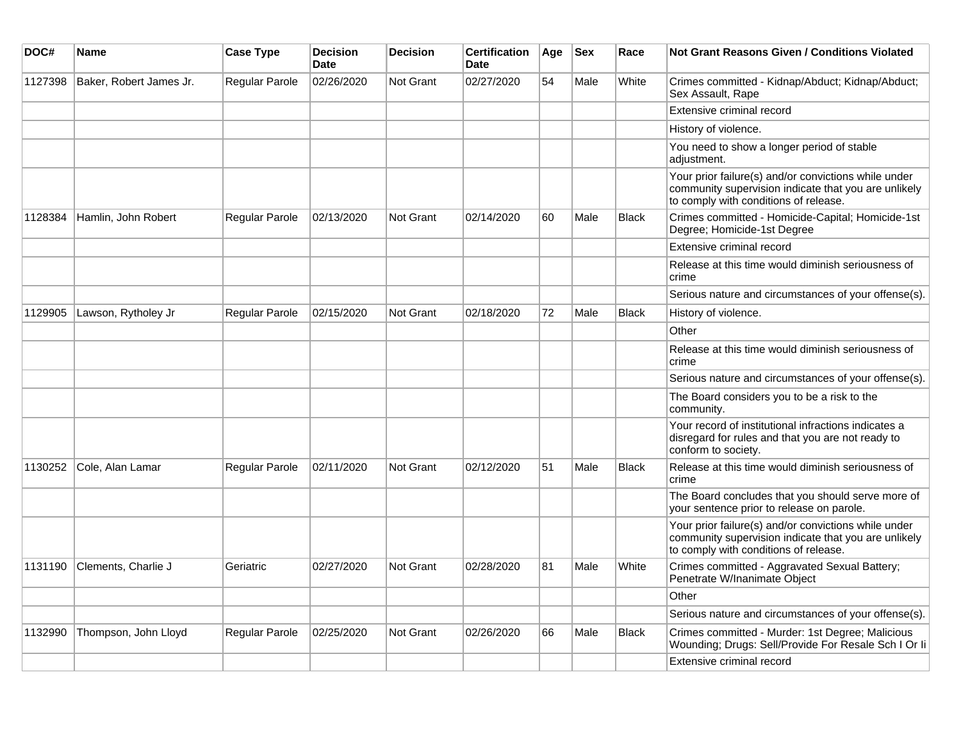| DOC#    | Name                    | <b>Case Type</b>      | <b>Decision</b><br><b>Date</b> | <b>Decision</b>  | <b>Certification</b><br><b>Date</b> | Age | <b>Sex</b> | Race         | Not Grant Reasons Given / Conditions Violated                                                                                                         |
|---------|-------------------------|-----------------------|--------------------------------|------------------|-------------------------------------|-----|------------|--------------|-------------------------------------------------------------------------------------------------------------------------------------------------------|
| 1127398 | Baker, Robert James Jr. | Regular Parole        | 02/26/2020                     | Not Grant        | 02/27/2020                          | 54  | Male       | White        | Crimes committed - Kidnap/Abduct; Kidnap/Abduct;<br>Sex Assault, Rape                                                                                 |
|         |                         |                       |                                |                  |                                     |     |            |              | Extensive criminal record                                                                                                                             |
|         |                         |                       |                                |                  |                                     |     |            |              | History of violence.                                                                                                                                  |
|         |                         |                       |                                |                  |                                     |     |            |              | You need to show a longer period of stable<br>adjustment.                                                                                             |
|         |                         |                       |                                |                  |                                     |     |            |              | Your prior failure(s) and/or convictions while under<br>community supervision indicate that you are unlikely<br>to comply with conditions of release. |
| 1128384 | Hamlin, John Robert     | Regular Parole        | 02/13/2020                     | Not Grant        | 02/14/2020                          | 60  | Male       | <b>Black</b> | Crimes committed - Homicide-Capital; Homicide-1st<br>Degree; Homicide-1st Degree                                                                      |
|         |                         |                       |                                |                  |                                     |     |            |              | Extensive criminal record                                                                                                                             |
|         |                         |                       |                                |                  |                                     |     |            |              | Release at this time would diminish seriousness of<br>crime                                                                                           |
|         |                         |                       |                                |                  |                                     |     |            |              | Serious nature and circumstances of your offense(s).                                                                                                  |
| 1129905 | Lawson, Rytholey Jr     | Regular Parole        | 02/15/2020                     | <b>Not Grant</b> | 02/18/2020                          | 72  | Male       | <b>Black</b> | History of violence.                                                                                                                                  |
|         |                         |                       |                                |                  |                                     |     |            |              | Other                                                                                                                                                 |
|         |                         |                       |                                |                  |                                     |     |            |              | Release at this time would diminish seriousness of<br>crime                                                                                           |
|         |                         |                       |                                |                  |                                     |     |            |              | Serious nature and circumstances of your offense(s).                                                                                                  |
|         |                         |                       |                                |                  |                                     |     |            |              | The Board considers you to be a risk to the<br>community.                                                                                             |
|         |                         |                       |                                |                  |                                     |     |            |              | Your record of institutional infractions indicates a<br>disregard for rules and that you are not ready to<br>conform to society.                      |
| 1130252 | Cole, Alan Lamar        | <b>Regular Parole</b> | 02/11/2020                     | Not Grant        | 02/12/2020                          | 51  | Male       | <b>Black</b> | Release at this time would diminish seriousness of<br>crime                                                                                           |
|         |                         |                       |                                |                  |                                     |     |            |              | The Board concludes that you should serve more of<br>your sentence prior to release on parole.                                                        |
|         |                         |                       |                                |                  |                                     |     |            |              | Your prior failure(s) and/or convictions while under<br>community supervision indicate that you are unlikely<br>to comply with conditions of release. |
| 1131190 | Clements, Charlie J     | Geriatric             | 02/27/2020                     | <b>Not Grant</b> | 02/28/2020                          | 81  | Male       | White        | Crimes committed - Aggravated Sexual Battery;<br>Penetrate W/Inanimate Object                                                                         |
|         |                         |                       |                                |                  |                                     |     |            |              | Other                                                                                                                                                 |
|         |                         |                       |                                |                  |                                     |     |            |              | Serious nature and circumstances of your offense(s).                                                                                                  |
| 1132990 | Thompson, John Lloyd    | <b>Regular Parole</b> | 02/25/2020                     | <b>Not Grant</b> | 02/26/2020                          | 66  | Male       | <b>Black</b> | Crimes committed - Murder: 1st Degree; Malicious<br>Wounding; Drugs: Sell/Provide For Resale Sch I Or li                                              |
|         |                         |                       |                                |                  |                                     |     |            |              | Extensive criminal record                                                                                                                             |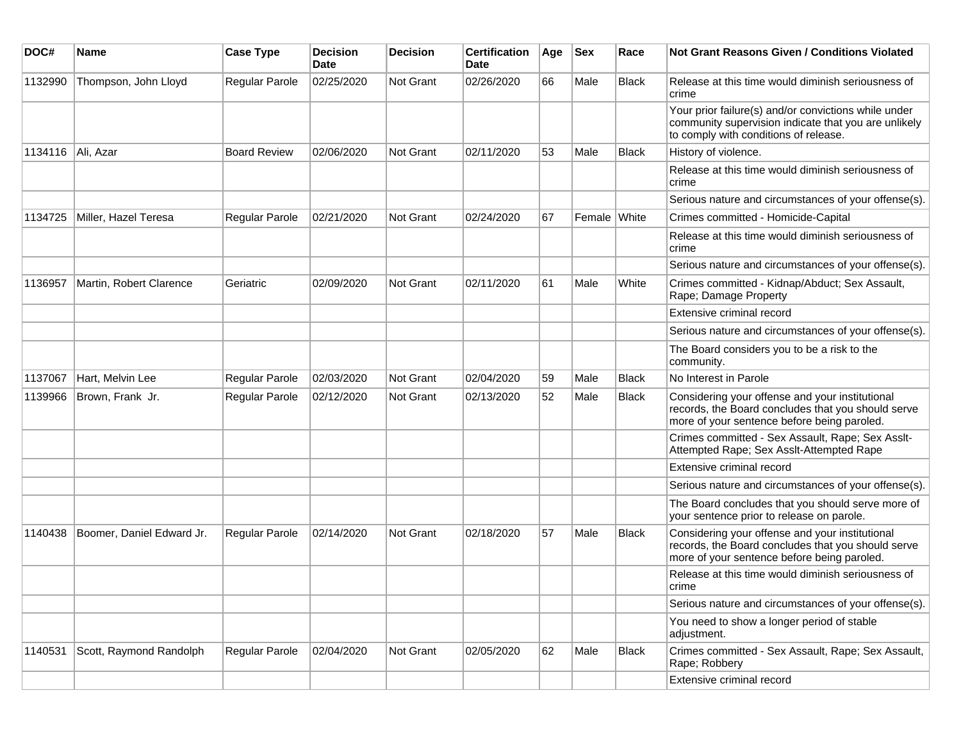| DOC#    | Name                      | <b>Case Type</b>    | <b>Decision</b><br><b>Date</b> | <b>Decision</b> | <b>Certification</b><br>Date | Age | <b>Sex</b>   | Race         | <b>Not Grant Reasons Given / Conditions Violated</b>                                                                                                  |
|---------|---------------------------|---------------------|--------------------------------|-----------------|------------------------------|-----|--------------|--------------|-------------------------------------------------------------------------------------------------------------------------------------------------------|
| 1132990 | Thompson, John Lloyd      | Regular Parole      | 02/25/2020                     | Not Grant       | 02/26/2020                   | 66  | Male         | <b>Black</b> | Release at this time would diminish seriousness of<br>crime                                                                                           |
|         |                           |                     |                                |                 |                              |     |              |              | Your prior failure(s) and/or convictions while under<br>community supervision indicate that you are unlikely<br>to comply with conditions of release. |
| 1134116 | Ali, Azar                 | <b>Board Review</b> | 02/06/2020                     | Not Grant       | 02/11/2020                   | 53  | Male         | <b>Black</b> | History of violence.                                                                                                                                  |
|         |                           |                     |                                |                 |                              |     |              |              | Release at this time would diminish seriousness of<br>crime                                                                                           |
|         |                           |                     |                                |                 |                              |     |              |              | Serious nature and circumstances of your offense(s).                                                                                                  |
| 1134725 | Miller, Hazel Teresa      | Regular Parole      | 02/21/2020                     | Not Grant       | 02/24/2020                   | 67  | Female White |              | Crimes committed - Homicide-Capital                                                                                                                   |
|         |                           |                     |                                |                 |                              |     |              |              | Release at this time would diminish seriousness of<br>crime                                                                                           |
|         |                           |                     |                                |                 |                              |     |              |              | Serious nature and circumstances of your offense(s).                                                                                                  |
| 1136957 | Martin, Robert Clarence   | Geriatric           | 02/09/2020                     | Not Grant       | 02/11/2020                   | 61  | Male         | White        | Crimes committed - Kidnap/Abduct; Sex Assault,<br>Rape; Damage Property                                                                               |
|         |                           |                     |                                |                 |                              |     |              |              | Extensive criminal record                                                                                                                             |
|         |                           |                     |                                |                 |                              |     |              |              | Serious nature and circumstances of your offense(s).                                                                                                  |
|         |                           |                     |                                |                 |                              |     |              |              | The Board considers you to be a risk to the<br>community.                                                                                             |
| 1137067 | Hart, Melvin Lee          | Regular Parole      | 02/03/2020                     | Not Grant       | 02/04/2020                   | 59  | Male         | Black        | No Interest in Parole                                                                                                                                 |
| 1139966 | Brown, Frank Jr.          | Regular Parole      | 02/12/2020                     | Not Grant       | 02/13/2020                   | 52  | Male         | <b>Black</b> | Considering your offense and your institutional<br>records, the Board concludes that you should serve<br>more of your sentence before being paroled.  |
|         |                           |                     |                                |                 |                              |     |              |              | Crimes committed - Sex Assault, Rape; Sex Asslt-<br>Attempted Rape; Sex Asslt-Attempted Rape                                                          |
|         |                           |                     |                                |                 |                              |     |              |              | Extensive criminal record                                                                                                                             |
|         |                           |                     |                                |                 |                              |     |              |              | Serious nature and circumstances of your offense(s).                                                                                                  |
|         |                           |                     |                                |                 |                              |     |              |              | The Board concludes that you should serve more of<br>your sentence prior to release on parole.                                                        |
| 1140438 | Boomer, Daniel Edward Jr. | Regular Parole      | 02/14/2020                     | Not Grant       | 02/18/2020                   | 57  | Male         | <b>Black</b> | Considering your offense and your institutional<br>records, the Board concludes that you should serve<br>more of your sentence before being paroled.  |
|         |                           |                     |                                |                 |                              |     |              |              | Release at this time would diminish seriousness of<br>crime                                                                                           |
|         |                           |                     |                                |                 |                              |     |              |              | Serious nature and circumstances of your offense(s).                                                                                                  |
|         |                           |                     |                                |                 |                              |     |              |              | You need to show a longer period of stable<br>adjustment.                                                                                             |
| 1140531 | Scott, Raymond Randolph   | Regular Parole      | 02/04/2020                     | Not Grant       | 02/05/2020                   | 62  | Male         | <b>Black</b> | Crimes committed - Sex Assault, Rape; Sex Assault,<br>Rape; Robbery                                                                                   |
|         |                           |                     |                                |                 |                              |     |              |              | Extensive criminal record                                                                                                                             |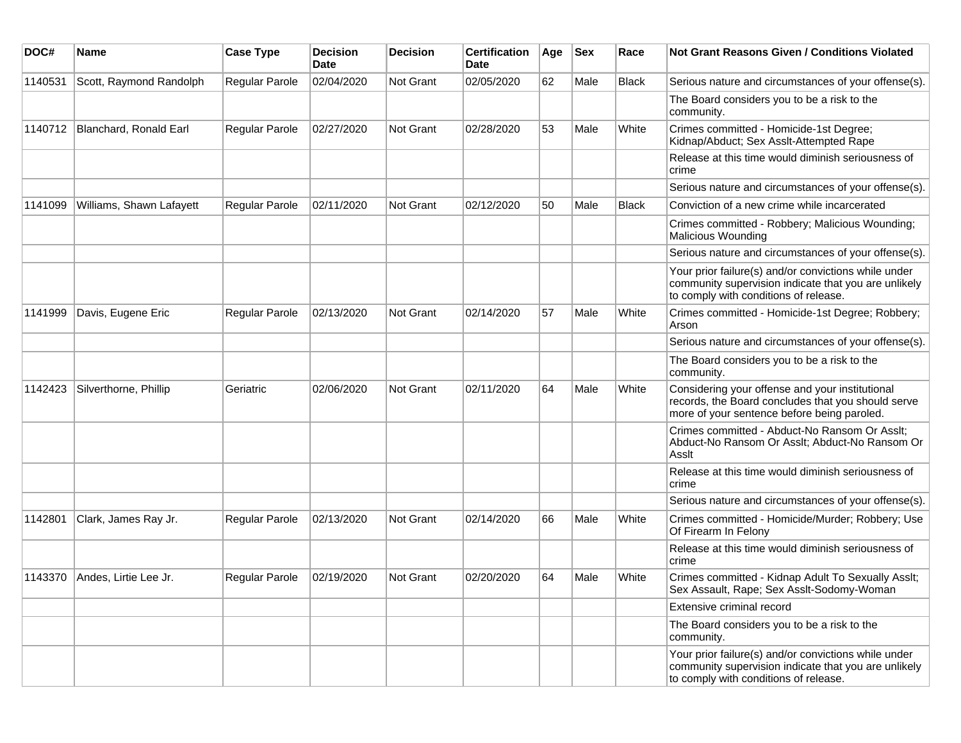| DOC#    | Name                     | <b>Case Type</b>      | <b>Decision</b><br>Date | <b>Decision</b>  | <b>Certification</b><br>Date | Age | Sex  | Race         | Not Grant Reasons Given / Conditions Violated                                                                                                         |
|---------|--------------------------|-----------------------|-------------------------|------------------|------------------------------|-----|------|--------------|-------------------------------------------------------------------------------------------------------------------------------------------------------|
| 1140531 | Scott, Raymond Randolph  | <b>Regular Parole</b> | 02/04/2020              | Not Grant        | 02/05/2020                   | 62  | Male | <b>Black</b> | Serious nature and circumstances of your offense(s).                                                                                                  |
|         |                          |                       |                         |                  |                              |     |      |              | The Board considers you to be a risk to the<br>community.                                                                                             |
| 1140712 | Blanchard, Ronald Earl   | <b>Regular Parole</b> | 02/27/2020              | Not Grant        | 02/28/2020                   | 53  | Male | White        | Crimes committed - Homicide-1st Degree;<br>Kidnap/Abduct; Sex Asslt-Attempted Rape                                                                    |
|         |                          |                       |                         |                  |                              |     |      |              | Release at this time would diminish seriousness of<br>crime                                                                                           |
|         |                          |                       |                         |                  |                              |     |      |              | Serious nature and circumstances of your offense(s).                                                                                                  |
| 1141099 | Williams, Shawn Lafayett | <b>Regular Parole</b> | 02/11/2020              | <b>Not Grant</b> | 02/12/2020                   | 50  | Male | <b>Black</b> | Conviction of a new crime while incarcerated                                                                                                          |
|         |                          |                       |                         |                  |                              |     |      |              | Crimes committed - Robbery; Malicious Wounding;<br><b>Malicious Wounding</b>                                                                          |
|         |                          |                       |                         |                  |                              |     |      |              | Serious nature and circumstances of your offense(s).                                                                                                  |
|         |                          |                       |                         |                  |                              |     |      |              | Your prior failure(s) and/or convictions while under<br>community supervision indicate that you are unlikely<br>to comply with conditions of release. |
| 1141999 | Davis, Eugene Eric       | Regular Parole        | 02/13/2020              | Not Grant        | 02/14/2020                   | 57  | Male | White        | Crimes committed - Homicide-1st Degree; Robbery;<br>Arson                                                                                             |
|         |                          |                       |                         |                  |                              |     |      |              | Serious nature and circumstances of your offense(s).                                                                                                  |
|         |                          |                       |                         |                  |                              |     |      |              | The Board considers you to be a risk to the<br>community.                                                                                             |
| 1142423 | Silverthorne, Phillip    | Geriatric             | 02/06/2020              | <b>Not Grant</b> | 02/11/2020                   | 64  | Male | White        | Considering your offense and your institutional<br>records, the Board concludes that you should serve<br>more of your sentence before being paroled.  |
|         |                          |                       |                         |                  |                              |     |      |              | Crimes committed - Abduct-No Ransom Or Asslt;<br>Abduct-No Ransom Or Asslt; Abduct-No Ransom Or<br>Asslt                                              |
|         |                          |                       |                         |                  |                              |     |      |              | Release at this time would diminish seriousness of<br>crime                                                                                           |
|         |                          |                       |                         |                  |                              |     |      |              | Serious nature and circumstances of your offense(s).                                                                                                  |
| 1142801 | Clark, James Ray Jr.     | <b>Regular Parole</b> | 02/13/2020              | <b>Not Grant</b> | 02/14/2020                   | 66  | Male | White        | Crimes committed - Homicide/Murder; Robbery; Use<br>Of Firearm In Felony                                                                              |
|         |                          |                       |                         |                  |                              |     |      |              | Release at this time would diminish seriousness of<br>crime                                                                                           |
| 1143370 | Andes, Lirtie Lee Jr.    | <b>Regular Parole</b> | 02/19/2020              | Not Grant        | 02/20/2020                   | 64  | Male | White        | Crimes committed - Kidnap Adult To Sexually Asslt;<br>Sex Assault, Rape; Sex Assit-Sodomy-Woman                                                       |
|         |                          |                       |                         |                  |                              |     |      |              | Extensive criminal record                                                                                                                             |
|         |                          |                       |                         |                  |                              |     |      |              | The Board considers you to be a risk to the<br>community.                                                                                             |
|         |                          |                       |                         |                  |                              |     |      |              | Your prior failure(s) and/or convictions while under<br>community supervision indicate that you are unlikely<br>to comply with conditions of release. |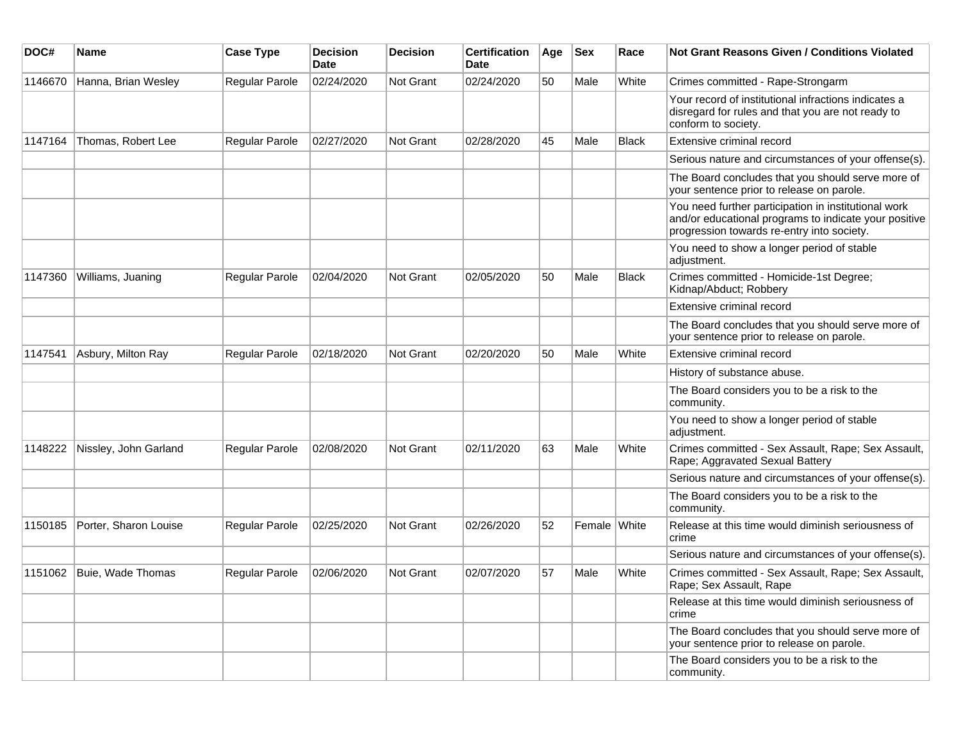| DOC#    | <b>Name</b>                 | <b>Case Type</b>      | <b>Decision</b><br>Date | <b>Decision</b>  | <b>Certification</b><br><b>Date</b> | Age | $ $ Sex      | Race         | <b>Not Grant Reasons Given / Conditions Violated</b>                                                                                                        |
|---------|-----------------------------|-----------------------|-------------------------|------------------|-------------------------------------|-----|--------------|--------------|-------------------------------------------------------------------------------------------------------------------------------------------------------------|
| 1146670 | Hanna, Brian Wesley         | Regular Parole        | 02/24/2020              | Not Grant        | 02/24/2020                          | 50  | Male         | White        | Crimes committed - Rape-Strongarm                                                                                                                           |
|         |                             |                       |                         |                  |                                     |     |              |              | Your record of institutional infractions indicates a<br>disregard for rules and that you are not ready to<br>conform to society.                            |
| 1147164 | Thomas, Robert Lee          | Regular Parole        | 02/27/2020              | <b>Not Grant</b> | 02/28/2020                          | 45  | Male         | <b>Black</b> | Extensive criminal record                                                                                                                                   |
|         |                             |                       |                         |                  |                                     |     |              |              | Serious nature and circumstances of your offense(s).                                                                                                        |
|         |                             |                       |                         |                  |                                     |     |              |              | The Board concludes that you should serve more of<br>your sentence prior to release on parole.                                                              |
|         |                             |                       |                         |                  |                                     |     |              |              | You need further participation in institutional work<br>and/or educational programs to indicate your positive<br>progression towards re-entry into society. |
|         |                             |                       |                         |                  |                                     |     |              |              | You need to show a longer period of stable<br>adjustment.                                                                                                   |
| 1147360 | Williams, Juaning           | <b>Regular Parole</b> | 02/04/2020              | Not Grant        | 02/05/2020                          | 50  | Male         | <b>Black</b> | Crimes committed - Homicide-1st Degree;<br>Kidnap/Abduct; Robbery                                                                                           |
|         |                             |                       |                         |                  |                                     |     |              |              | Extensive criminal record                                                                                                                                   |
|         |                             |                       |                         |                  |                                     |     |              |              | The Board concludes that you should serve more of<br>your sentence prior to release on parole.                                                              |
| 1147541 | Asbury, Milton Ray          | Regular Parole        | 02/18/2020              | <b>Not Grant</b> | 02/20/2020                          | 50  | Male         | White        | Extensive criminal record                                                                                                                                   |
|         |                             |                       |                         |                  |                                     |     |              |              | History of substance abuse.                                                                                                                                 |
|         |                             |                       |                         |                  |                                     |     |              |              | The Board considers you to be a risk to the<br>community.                                                                                                   |
|         |                             |                       |                         |                  |                                     |     |              |              | You need to show a longer period of stable<br>adjustment.                                                                                                   |
| 1148222 | Nissley, John Garland       | <b>Regular Parole</b> | 02/08/2020              | Not Grant        | 02/11/2020                          | 63  | Male         | White        | Crimes committed - Sex Assault, Rape; Sex Assault,<br>Rape; Aggravated Sexual Battery                                                                       |
|         |                             |                       |                         |                  |                                     |     |              |              | Serious nature and circumstances of your offense(s).                                                                                                        |
|         |                             |                       |                         |                  |                                     |     |              |              | The Board considers you to be a risk to the<br>community.                                                                                                   |
| 1150185 | Porter, Sharon Louise       | Regular Parole        | 02/25/2020              | Not Grant        | 02/26/2020                          | 52  | Female White |              | Release at this time would diminish seriousness of<br>crime                                                                                                 |
|         |                             |                       |                         |                  |                                     |     |              |              | Serious nature and circumstances of your offense(s).                                                                                                        |
|         | 1151062   Buie, Wade Thomas | Regular Parole        | 02/06/2020              | Not Grant        | 02/07/2020                          | 57  | Male         | White        | Crimes committed - Sex Assault, Rape; Sex Assault,<br>Rape; Sex Assault, Rape                                                                               |
|         |                             |                       |                         |                  |                                     |     |              |              | Release at this time would diminish seriousness of<br>crime                                                                                                 |
|         |                             |                       |                         |                  |                                     |     |              |              | The Board concludes that you should serve more of<br>your sentence prior to release on parole.                                                              |
|         |                             |                       |                         |                  |                                     |     |              |              | The Board considers you to be a risk to the<br>community.                                                                                                   |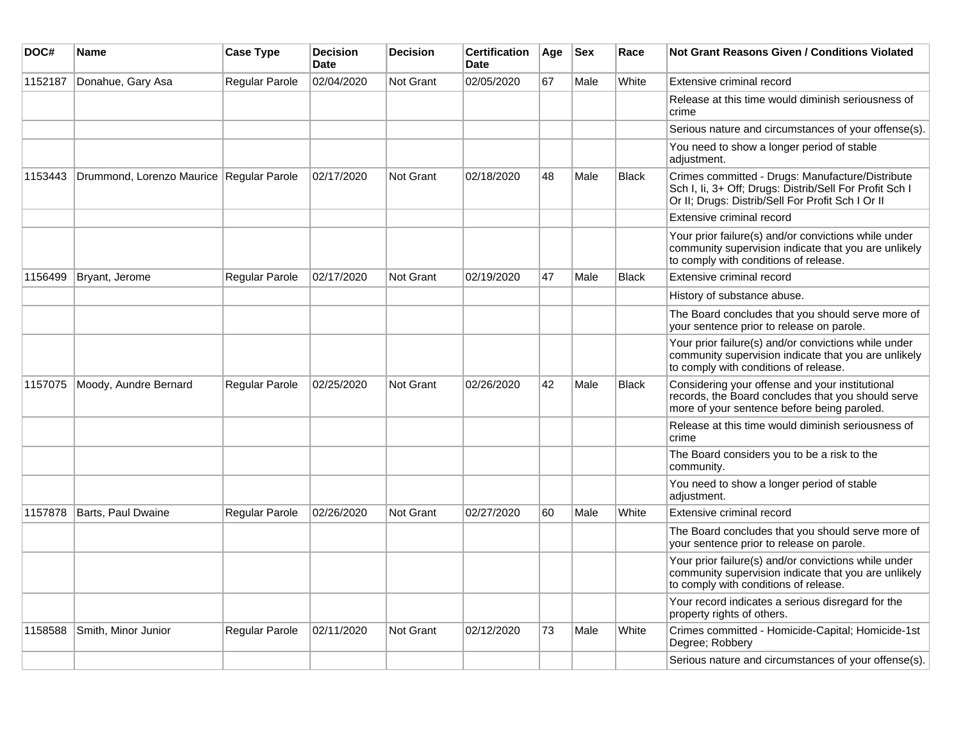| DOC#    | Name                                     | <b>Case Type</b>      | <b>Decision</b><br><b>Date</b> | <b>Decision</b>  | <b>Certification</b><br><b>Date</b> | Age | <b>Sex</b> | Race         | Not Grant Reasons Given / Conditions Violated                                                                                                                    |
|---------|------------------------------------------|-----------------------|--------------------------------|------------------|-------------------------------------|-----|------------|--------------|------------------------------------------------------------------------------------------------------------------------------------------------------------------|
| 1152187 | Donahue, Gary Asa                        | Regular Parole        | 02/04/2020                     | Not Grant        | 02/05/2020                          | 67  | Male       | White        | Extensive criminal record                                                                                                                                        |
|         |                                          |                       |                                |                  |                                     |     |            |              | Release at this time would diminish seriousness of<br>crime                                                                                                      |
|         |                                          |                       |                                |                  |                                     |     |            |              | Serious nature and circumstances of your offense(s).                                                                                                             |
|         |                                          |                       |                                |                  |                                     |     |            |              | You need to show a longer period of stable<br>adjustment.                                                                                                        |
| 1153443 | Drummond, Lorenzo Maurice Regular Parole |                       | 02/17/2020                     | <b>Not Grant</b> | 02/18/2020                          | 48  | Male       | <b>Black</b> | Crimes committed - Drugs: Manufacture/Distribute<br>Sch I, Ii, 3+ Off; Drugs: Distrib/Sell For Profit Sch I<br>Or II; Drugs: Distrib/Sell For Profit Sch I Or II |
|         |                                          |                       |                                |                  |                                     |     |            |              | Extensive criminal record                                                                                                                                        |
|         |                                          |                       |                                |                  |                                     |     |            |              | Your prior failure(s) and/or convictions while under<br>community supervision indicate that you are unlikely<br>to comply with conditions of release.            |
| 1156499 | Bryant, Jerome                           | Regular Parole        | 02/17/2020                     | <b>Not Grant</b> | 02/19/2020                          | 47  | Male       | <b>Black</b> | Extensive criminal record                                                                                                                                        |
|         |                                          |                       |                                |                  |                                     |     |            |              | History of substance abuse.                                                                                                                                      |
|         |                                          |                       |                                |                  |                                     |     |            |              | The Board concludes that you should serve more of<br>your sentence prior to release on parole.                                                                   |
|         |                                          |                       |                                |                  |                                     |     |            |              | Your prior failure(s) and/or convictions while under<br>community supervision indicate that you are unlikely<br>to comply with conditions of release.            |
| 1157075 | Moody, Aundre Bernard                    | Regular Parole        | 02/25/2020                     | Not Grant        | 02/26/2020                          | 42  | Male       | <b>Black</b> | Considering your offense and your institutional<br>records, the Board concludes that you should serve<br>more of your sentence before being paroled.             |
|         |                                          |                       |                                |                  |                                     |     |            |              | Release at this time would diminish seriousness of<br>crime                                                                                                      |
|         |                                          |                       |                                |                  |                                     |     |            |              | The Board considers you to be a risk to the<br>community.                                                                                                        |
|         |                                          |                       |                                |                  |                                     |     |            |              | You need to show a longer period of stable<br>adjustment.                                                                                                        |
| 1157878 | Barts, Paul Dwaine                       | Regular Parole        | 02/26/2020                     | Not Grant        | 02/27/2020                          | 60  | Male       | White        | Extensive criminal record                                                                                                                                        |
|         |                                          |                       |                                |                  |                                     |     |            |              | The Board concludes that you should serve more of<br>your sentence prior to release on parole.                                                                   |
|         |                                          |                       |                                |                  |                                     |     |            |              | Your prior failure(s) and/or convictions while under<br>community supervision indicate that you are unlikely<br>to comply with conditions of release.            |
|         |                                          |                       |                                |                  |                                     |     |            |              | Your record indicates a serious disregard for the<br>property rights of others.                                                                                  |
| 1158588 | Smith, Minor Junior                      | <b>Regular Parole</b> | 02/11/2020                     | <b>Not Grant</b> | 02/12/2020                          | 73  | Male       | White        | Crimes committed - Homicide-Capital; Homicide-1st<br>Degree; Robbery                                                                                             |
|         |                                          |                       |                                |                  |                                     |     |            |              | Serious nature and circumstances of your offense(s).                                                                                                             |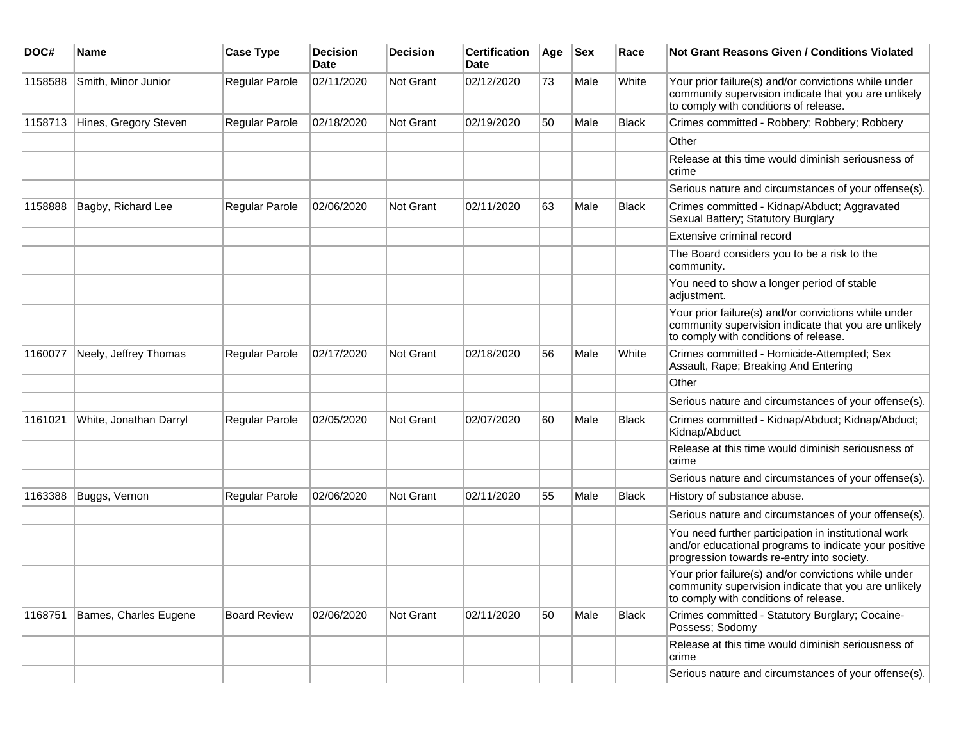| DOC#    | <b>Name</b>            | <b>Case Type</b>      | <b>Decision</b><br>Date | <b>Decision</b>  | <b>Certification</b><br>Date | Age | <b>Sex</b> | Race         | Not Grant Reasons Given / Conditions Violated                                                                                                               |
|---------|------------------------|-----------------------|-------------------------|------------------|------------------------------|-----|------------|--------------|-------------------------------------------------------------------------------------------------------------------------------------------------------------|
| 1158588 | Smith, Minor Junior    | Regular Parole        | 02/11/2020              | Not Grant        | 02/12/2020                   | 73  | Male       | White        | Your prior failure(s) and/or convictions while under<br>community supervision indicate that you are unlikely<br>to comply with conditions of release.       |
| 1158713 | Hines, Gregory Steven  | Regular Parole        | 02/18/2020              | Not Grant        | 02/19/2020                   | 50  | Male       | <b>Black</b> | Crimes committed - Robbery; Robbery; Robbery                                                                                                                |
|         |                        |                       |                         |                  |                              |     |            |              | Other                                                                                                                                                       |
|         |                        |                       |                         |                  |                              |     |            |              | Release at this time would diminish seriousness of<br>crime                                                                                                 |
|         |                        |                       |                         |                  |                              |     |            |              | Serious nature and circumstances of your offense(s).                                                                                                        |
| 1158888 | Bagby, Richard Lee     | <b>Regular Parole</b> | 02/06/2020              | Not Grant        | 02/11/2020                   | 63  | Male       | <b>Black</b> | Crimes committed - Kidnap/Abduct; Aggravated<br>Sexual Battery; Statutory Burglary                                                                          |
|         |                        |                       |                         |                  |                              |     |            |              | Extensive criminal record                                                                                                                                   |
|         |                        |                       |                         |                  |                              |     |            |              | The Board considers you to be a risk to the<br>community.                                                                                                   |
|         |                        |                       |                         |                  |                              |     |            |              | You need to show a longer period of stable<br>adjustment.                                                                                                   |
|         |                        |                       |                         |                  |                              |     |            |              | Your prior failure(s) and/or convictions while under<br>community supervision indicate that you are unlikely<br>to comply with conditions of release.       |
| 1160077 | Neely, Jeffrey Thomas  | <b>Regular Parole</b> | 02/17/2020              | Not Grant        | 02/18/2020                   | 56  | Male       | White        | Crimes committed - Homicide-Attempted; Sex<br>Assault, Rape; Breaking And Entering                                                                          |
|         |                        |                       |                         |                  |                              |     |            |              | Other                                                                                                                                                       |
|         |                        |                       |                         |                  |                              |     |            |              | Serious nature and circumstances of your offense(s).                                                                                                        |
| 1161021 | White, Jonathan Darryl | <b>Regular Parole</b> | 02/05/2020              | Not Grant        | 02/07/2020                   | 60  | Male       | Black        | Crimes committed - Kidnap/Abduct; Kidnap/Abduct;<br>Kidnap/Abduct                                                                                           |
|         |                        |                       |                         |                  |                              |     |            |              | Release at this time would diminish seriousness of<br>crime                                                                                                 |
|         |                        |                       |                         |                  |                              |     |            |              | Serious nature and circumstances of your offense(s).                                                                                                        |
| 1163388 | Buggs, Vernon          | Regular Parole        | 02/06/2020              | <b>Not Grant</b> | 02/11/2020                   | 55  | Male       | <b>Black</b> | History of substance abuse.                                                                                                                                 |
|         |                        |                       |                         |                  |                              |     |            |              | Serious nature and circumstances of your offense(s).                                                                                                        |
|         |                        |                       |                         |                  |                              |     |            |              | You need further participation in institutional work<br>and/or educational programs to indicate your positive<br>progression towards re-entry into society. |
|         |                        |                       |                         |                  |                              |     |            |              | Your prior failure(s) and/or convictions while under<br>community supervision indicate that you are unlikely<br>to comply with conditions of release.       |
| 1168751 | Barnes, Charles Eugene | <b>Board Review</b>   | 02/06/2020              | Not Grant        | 02/11/2020                   | 50  | Male       | <b>Black</b> | Crimes committed - Statutory Burglary; Cocaine-<br>Possess; Sodomy                                                                                          |
|         |                        |                       |                         |                  |                              |     |            |              | Release at this time would diminish seriousness of<br>crime                                                                                                 |
|         |                        |                       |                         |                  |                              |     |            |              | Serious nature and circumstances of your offense(s).                                                                                                        |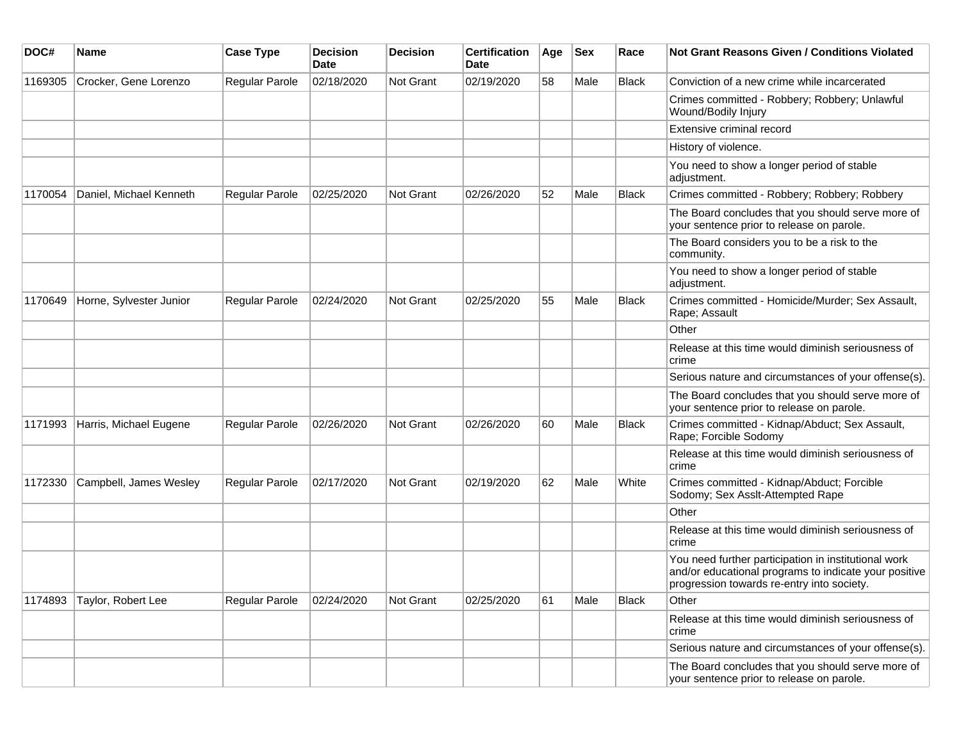| DOC#    | <b>Name</b>             | <b>Case Type</b>      | <b>Decision</b><br><b>Date</b> | <b>Decision</b>  | <b>Certification</b><br><b>Date</b> | Age | <b>Sex</b> | Race         | Not Grant Reasons Given / Conditions Violated                                                                                                               |
|---------|-------------------------|-----------------------|--------------------------------|------------------|-------------------------------------|-----|------------|--------------|-------------------------------------------------------------------------------------------------------------------------------------------------------------|
| 1169305 | Crocker, Gene Lorenzo   | Regular Parole        | 02/18/2020                     | Not Grant        | 02/19/2020                          | 58  | Male       | Black        | Conviction of a new crime while incarcerated                                                                                                                |
|         |                         |                       |                                |                  |                                     |     |            |              | Crimes committed - Robbery; Robbery; Unlawful<br>Wound/Bodily Injury                                                                                        |
|         |                         |                       |                                |                  |                                     |     |            |              | Extensive criminal record                                                                                                                                   |
|         |                         |                       |                                |                  |                                     |     |            |              | History of violence.                                                                                                                                        |
|         |                         |                       |                                |                  |                                     |     |            |              | You need to show a longer period of stable<br>adjustment.                                                                                                   |
| 1170054 | Daniel, Michael Kenneth | <b>Regular Parole</b> | 02/25/2020                     | Not Grant        | 02/26/2020                          | 52  | Male       | <b>Black</b> | Crimes committed - Robbery; Robbery; Robbery                                                                                                                |
|         |                         |                       |                                |                  |                                     |     |            |              | The Board concludes that you should serve more of<br>your sentence prior to release on parole.                                                              |
|         |                         |                       |                                |                  |                                     |     |            |              | The Board considers you to be a risk to the<br>community.                                                                                                   |
|         |                         |                       |                                |                  |                                     |     |            |              | You need to show a longer period of stable<br>adjustment.                                                                                                   |
| 1170649 | Horne, Sylvester Junior | <b>Regular Parole</b> | 02/24/2020                     | Not Grant        | 02/25/2020                          | 55  | Male       | <b>Black</b> | Crimes committed - Homicide/Murder; Sex Assault,<br>Rape; Assault                                                                                           |
|         |                         |                       |                                |                  |                                     |     |            |              | Other                                                                                                                                                       |
|         |                         |                       |                                |                  |                                     |     |            |              | Release at this time would diminish seriousness of<br>crime                                                                                                 |
|         |                         |                       |                                |                  |                                     |     |            |              | Serious nature and circumstances of your offense(s).                                                                                                        |
|         |                         |                       |                                |                  |                                     |     |            |              | The Board concludes that you should serve more of<br>your sentence prior to release on parole.                                                              |
| 1171993 | Harris, Michael Eugene  | <b>Regular Parole</b> | 02/26/2020                     | <b>Not Grant</b> | 02/26/2020                          | 60  | Male       | <b>Black</b> | Crimes committed - Kidnap/Abduct; Sex Assault,<br>Rape; Forcible Sodomy                                                                                     |
|         |                         |                       |                                |                  |                                     |     |            |              | Release at this time would diminish seriousness of<br>crime                                                                                                 |
| 1172330 | Campbell, James Wesley  | <b>Regular Parole</b> | 02/17/2020                     | Not Grant        | 02/19/2020                          | 62  | Male       | White        | Crimes committed - Kidnap/Abduct; Forcible<br>Sodomy; Sex Asslt-Attempted Rape                                                                              |
|         |                         |                       |                                |                  |                                     |     |            |              | Other                                                                                                                                                       |
|         |                         |                       |                                |                  |                                     |     |            |              | Release at this time would diminish seriousness of<br>crime                                                                                                 |
|         |                         |                       |                                |                  |                                     |     |            |              | You need further participation in institutional work<br>and/or educational programs to indicate your positive<br>progression towards re-entry into society. |
| 1174893 | Taylor, Robert Lee      | Regular Parole        | 02/24/2020                     | Not Grant        | 02/25/2020                          | 61  | Male       | <b>Black</b> | Other                                                                                                                                                       |
|         |                         |                       |                                |                  |                                     |     |            |              | Release at this time would diminish seriousness of<br>crime                                                                                                 |
|         |                         |                       |                                |                  |                                     |     |            |              | Serious nature and circumstances of your offense(s).                                                                                                        |
|         |                         |                       |                                |                  |                                     |     |            |              | The Board concludes that you should serve more of<br>your sentence prior to release on parole.                                                              |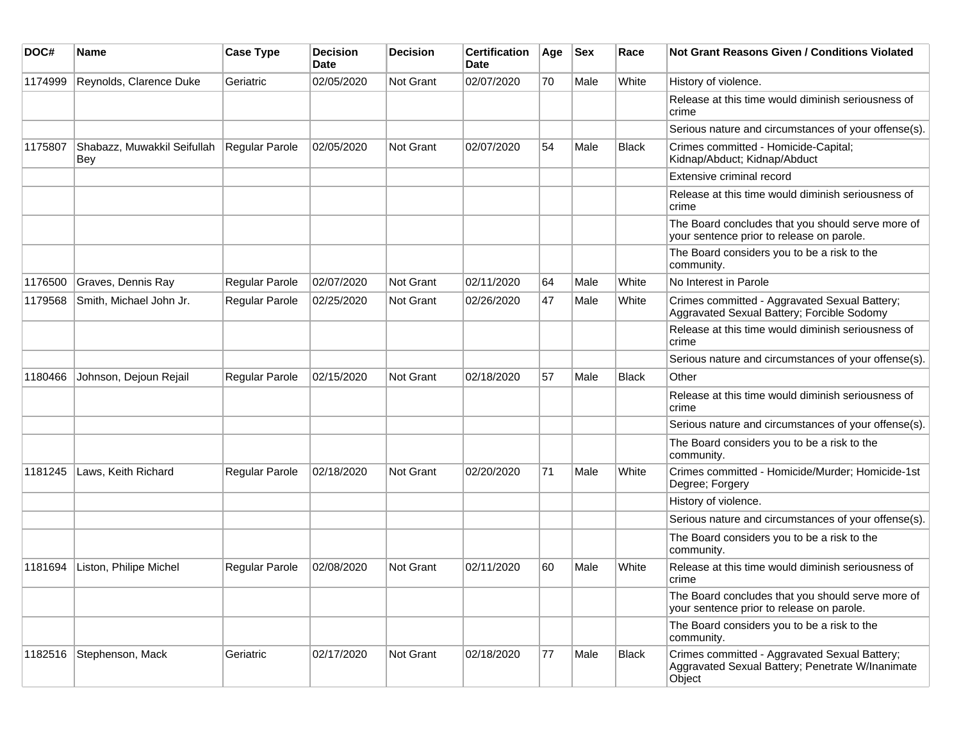| DOC#    | <b>Name</b>                        | <b>Case Type</b>      | <b>Decision</b><br><b>Date</b> | <b>Decision</b> | <b>Certification</b><br><b>Date</b> | Age | <b>Sex</b> | Race         | Not Grant Reasons Given / Conditions Violated                                                               |
|---------|------------------------------------|-----------------------|--------------------------------|-----------------|-------------------------------------|-----|------------|--------------|-------------------------------------------------------------------------------------------------------------|
| 1174999 | Reynolds, Clarence Duke            | Geriatric             | 02/05/2020                     | Not Grant       | 02/07/2020                          | 70  | Male       | White        | History of violence.                                                                                        |
|         |                                    |                       |                                |                 |                                     |     |            |              | Release at this time would diminish seriousness of<br>crime                                                 |
|         |                                    |                       |                                |                 |                                     |     |            |              | Serious nature and circumstances of your offense(s).                                                        |
| 1175807 | Shabazz, Muwakkil Seifullah<br>Bey | <b>Regular Parole</b> | 02/05/2020                     | Not Grant       | 02/07/2020                          | 54  | Male       | <b>Black</b> | Crimes committed - Homicide-Capital;<br>Kidnap/Abduct; Kidnap/Abduct                                        |
|         |                                    |                       |                                |                 |                                     |     |            |              | Extensive criminal record                                                                                   |
|         |                                    |                       |                                |                 |                                     |     |            |              | Release at this time would diminish seriousness of<br>crime                                                 |
|         |                                    |                       |                                |                 |                                     |     |            |              | The Board concludes that you should serve more of<br>your sentence prior to release on parole.              |
|         |                                    |                       |                                |                 |                                     |     |            |              | The Board considers you to be a risk to the<br>community.                                                   |
| 1176500 | Graves, Dennis Ray                 | Regular Parole        | 02/07/2020                     | Not Grant       | 02/11/2020                          | 64  | Male       | White        | No Interest in Parole                                                                                       |
| 1179568 | Smith, Michael John Jr.            | Regular Parole        | 02/25/2020                     | Not Grant       | 02/26/2020                          | 47  | Male       | White        | Crimes committed - Aggravated Sexual Battery;<br>Aggravated Sexual Battery; Forcible Sodomy                 |
|         |                                    |                       |                                |                 |                                     |     |            |              | Release at this time would diminish seriousness of<br>crime                                                 |
|         |                                    |                       |                                |                 |                                     |     |            |              | Serious nature and circumstances of your offense(s).                                                        |
| 1180466 | Johnson, Dejoun Rejail             | <b>Regular Parole</b> | 02/15/2020                     | Not Grant       | 02/18/2020                          | 57  | Male       | <b>Black</b> | Other                                                                                                       |
|         |                                    |                       |                                |                 |                                     |     |            |              | Release at this time would diminish seriousness of<br>crime                                                 |
|         |                                    |                       |                                |                 |                                     |     |            |              | Serious nature and circumstances of your offense(s).                                                        |
|         |                                    |                       |                                |                 |                                     |     |            |              | The Board considers you to be a risk to the<br>community.                                                   |
| 1181245 | Laws, Keith Richard                | Regular Parole        | 02/18/2020                     | Not Grant       | 02/20/2020                          | 71  | Male       | White        | Crimes committed - Homicide/Murder; Homicide-1st<br>Degree; Forgery                                         |
|         |                                    |                       |                                |                 |                                     |     |            |              | History of violence.                                                                                        |
|         |                                    |                       |                                |                 |                                     |     |            |              | Serious nature and circumstances of your offense(s).                                                        |
|         |                                    |                       |                                |                 |                                     |     |            |              | The Board considers you to be a risk to the<br>community.                                                   |
| 1181694 | Liston, Philipe Michel             | <b>Regular Parole</b> | 02/08/2020                     | Not Grant       | 02/11/2020                          | 60  | Male       | White        | Release at this time would diminish seriousness of<br>crime                                                 |
|         |                                    |                       |                                |                 |                                     |     |            |              | The Board concludes that you should serve more of<br>your sentence prior to release on parole.              |
|         |                                    |                       |                                |                 |                                     |     |            |              | The Board considers you to be a risk to the<br>community.                                                   |
| 1182516 | Stephenson, Mack                   | Geriatric             | 02/17/2020                     | Not Grant       | 02/18/2020                          | 77  | Male       | <b>Black</b> | Crimes committed - Aggravated Sexual Battery;<br>Aggravated Sexual Battery; Penetrate W/Inanimate<br>Object |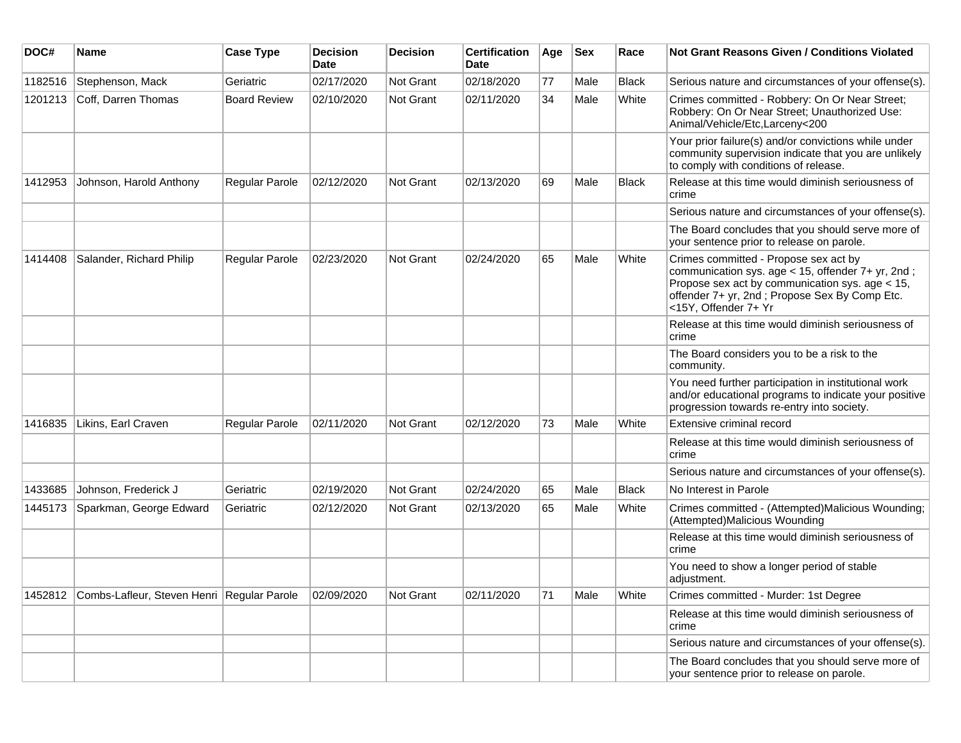| DOC#    | <b>Name</b>                                        | <b>Case Type</b>    | <b>Decision</b><br><b>Date</b> | <b>Decision</b>  | <b>Certification</b><br>Date | Age | <b>Sex</b> | Race         | Not Grant Reasons Given / Conditions Violated                                                                                                                                                                          |
|---------|----------------------------------------------------|---------------------|--------------------------------|------------------|------------------------------|-----|------------|--------------|------------------------------------------------------------------------------------------------------------------------------------------------------------------------------------------------------------------------|
| 1182516 | Stephenson, Mack                                   | Geriatric           | 02/17/2020                     | Not Grant        | 02/18/2020                   | 77  | Male       | Black        | Serious nature and circumstances of your offense(s).                                                                                                                                                                   |
| 1201213 | Coff, Darren Thomas                                | <b>Board Review</b> | 02/10/2020                     | Not Grant        | 02/11/2020                   | 34  | Male       | White        | Crimes committed - Robbery: On Or Near Street;<br>Robbery: On Or Near Street; Unauthorized Use:<br>Animal/Vehicle/Etc,Larceny<200                                                                                      |
|         |                                                    |                     |                                |                  |                              |     |            |              | Your prior failure(s) and/or convictions while under<br>community supervision indicate that you are unlikely<br>to comply with conditions of release.                                                                  |
| 1412953 | Johnson, Harold Anthony                            | Regular Parole      | 02/12/2020                     | Not Grant        | 02/13/2020                   | 69  | Male       | <b>Black</b> | Release at this time would diminish seriousness of<br>crime                                                                                                                                                            |
|         |                                                    |                     |                                |                  |                              |     |            |              | Serious nature and circumstances of your offense(s).                                                                                                                                                                   |
|         |                                                    |                     |                                |                  |                              |     |            |              | The Board concludes that you should serve more of<br>your sentence prior to release on parole.                                                                                                                         |
| 1414408 | Salander, Richard Philip                           | Regular Parole      | 02/23/2020                     | Not Grant        | 02/24/2020                   | 65  | Male       | White        | Crimes committed - Propose sex act by<br>communication sys. age < 15, offender 7+ yr, 2nd;<br>Propose sex act by communication sys. age < 15,<br>offender 7+ yr, 2nd; Propose Sex By Comp Etc.<br><15Y, Offender 7+ Yr |
|         |                                                    |                     |                                |                  |                              |     |            |              | Release at this time would diminish seriousness of<br>crime                                                                                                                                                            |
|         |                                                    |                     |                                |                  |                              |     |            |              | The Board considers you to be a risk to the<br>community.                                                                                                                                                              |
|         |                                                    |                     |                                |                  |                              |     |            |              | You need further participation in institutional work<br>and/or educational programs to indicate your positive<br>progression towards re-entry into society.                                                            |
| 1416835 | Likins, Earl Craven                                | Regular Parole      | 02/11/2020                     | <b>Not Grant</b> | 02/12/2020                   | 73  | Male       | White        | Extensive criminal record                                                                                                                                                                                              |
|         |                                                    |                     |                                |                  |                              |     |            |              | Release at this time would diminish seriousness of<br>crime                                                                                                                                                            |
|         |                                                    |                     |                                |                  |                              |     |            |              | Serious nature and circumstances of your offense(s).                                                                                                                                                                   |
| 1433685 | Johnson, Frederick J                               | Geriatric           | 02/19/2020                     | Not Grant        | 02/24/2020                   | 65  | Male       | <b>Black</b> | No Interest in Parole                                                                                                                                                                                                  |
| 1445173 | Sparkman, George Edward                            | Geriatric           | 02/12/2020                     | <b>Not Grant</b> | 02/13/2020                   | 65  | Male       | White        | Crimes committed - (Attempted)Malicious Wounding;<br>(Attempted)Malicious Wounding                                                                                                                                     |
|         |                                                    |                     |                                |                  |                              |     |            |              | Release at this time would diminish seriousness of<br>crime                                                                                                                                                            |
|         |                                                    |                     |                                |                  |                              |     |            |              | You need to show a longer period of stable<br>adjustment.                                                                                                                                                              |
|         | 1452812 Combs-Lafleur, Steven Henri Regular Parole |                     | 02/09/2020                     | Not Grant        | 02/11/2020                   | 71  | Male       | White        | Crimes committed - Murder: 1st Degree                                                                                                                                                                                  |
|         |                                                    |                     |                                |                  |                              |     |            |              | Release at this time would diminish seriousness of<br>crime                                                                                                                                                            |
|         |                                                    |                     |                                |                  |                              |     |            |              | Serious nature and circumstances of your offense(s).                                                                                                                                                                   |
|         |                                                    |                     |                                |                  |                              |     |            |              | The Board concludes that you should serve more of<br>your sentence prior to release on parole.                                                                                                                         |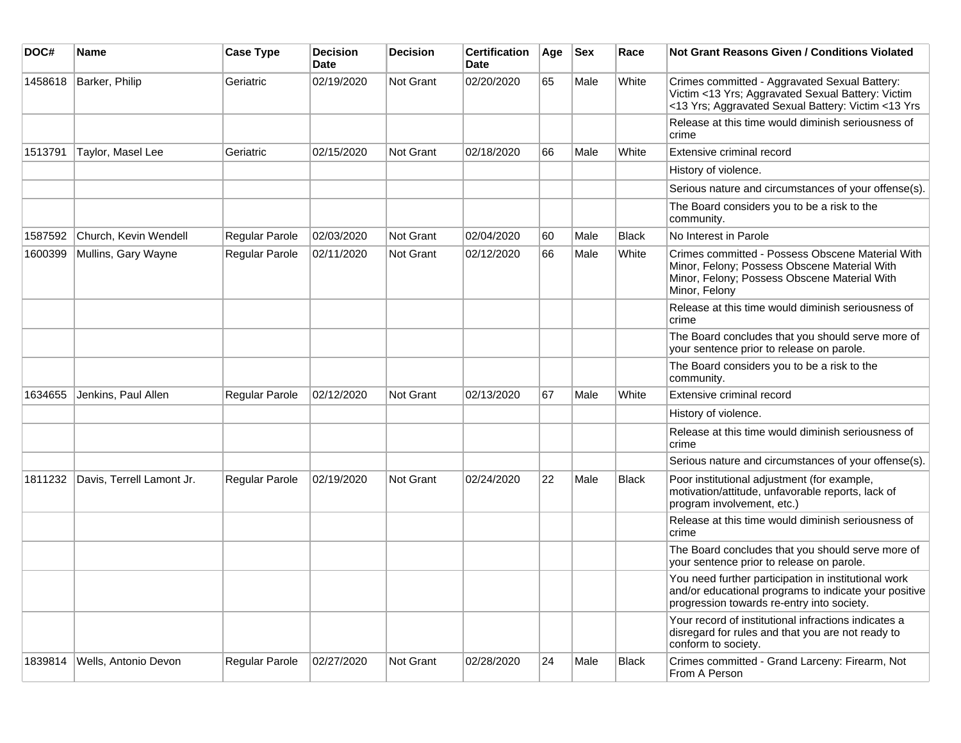| DOC#    | <b>Name</b>               | <b>Case Type</b> | <b>Decision</b><br><b>Date</b> | <b>Decision</b> | <b>Certification</b><br>Date | Age | <b>Sex</b> | Race         | <b>Not Grant Reasons Given / Conditions Violated</b>                                                                                                              |
|---------|---------------------------|------------------|--------------------------------|-----------------|------------------------------|-----|------------|--------------|-------------------------------------------------------------------------------------------------------------------------------------------------------------------|
| 1458618 | Barker, Philip            | Geriatric        | 02/19/2020                     | Not Grant       | 02/20/2020                   | 65  | Male       | White        | Crimes committed - Aggravated Sexual Battery:<br>Victim <13 Yrs; Aggravated Sexual Battery: Victim<br><13 Yrs; Aggravated Sexual Battery: Victim <13 Yrs          |
|         |                           |                  |                                |                 |                              |     |            |              | Release at this time would diminish seriousness of<br>crime                                                                                                       |
| 1513791 | Taylor, Masel Lee         | Geriatric        | 02/15/2020                     | Not Grant       | 02/18/2020                   | 66  | Male       | White        | Extensive criminal record                                                                                                                                         |
|         |                           |                  |                                |                 |                              |     |            |              | History of violence.                                                                                                                                              |
|         |                           |                  |                                |                 |                              |     |            |              | Serious nature and circumstances of your offense(s).                                                                                                              |
|         |                           |                  |                                |                 |                              |     |            |              | The Board considers you to be a risk to the<br>community.                                                                                                         |
| 1587592 | Church, Kevin Wendell     | Regular Parole   | 02/03/2020                     | Not Grant       | 02/04/2020                   | 60  | Male       | <b>Black</b> | No Interest in Parole                                                                                                                                             |
| 1600399 | Mullins, Gary Wayne       | Regular Parole   | 02/11/2020                     | Not Grant       | 02/12/2020                   | 66  | Male       | White        | Crimes committed - Possess Obscene Material With<br>Minor, Felony; Possess Obscene Material With<br>Minor, Felony; Possess Obscene Material With<br>Minor, Felony |
|         |                           |                  |                                |                 |                              |     |            |              | Release at this time would diminish seriousness of<br>crime                                                                                                       |
|         |                           |                  |                                |                 |                              |     |            |              | The Board concludes that you should serve more of<br>your sentence prior to release on parole.                                                                    |
|         |                           |                  |                                |                 |                              |     |            |              | The Board considers you to be a risk to the<br>community.                                                                                                         |
| 1634655 | Jenkins, Paul Allen       | Regular Parole   | 02/12/2020                     | Not Grant       | 02/13/2020                   | 67  | Male       | White        | Extensive criminal record                                                                                                                                         |
|         |                           |                  |                                |                 |                              |     |            |              | History of violence.                                                                                                                                              |
|         |                           |                  |                                |                 |                              |     |            |              | Release at this time would diminish seriousness of<br>crime                                                                                                       |
|         |                           |                  |                                |                 |                              |     |            |              | Serious nature and circumstances of your offense(s).                                                                                                              |
| 1811232 | Davis, Terrell Lamont Jr. | Regular Parole   | 02/19/2020                     | Not Grant       | 02/24/2020                   | 22  | Male       | Black        | Poor institutional adjustment (for example,<br>motivation/attitude, unfavorable reports, lack of<br>program involvement, etc.)                                    |
|         |                           |                  |                                |                 |                              |     |            |              | Release at this time would diminish seriousness of<br>crime                                                                                                       |
|         |                           |                  |                                |                 |                              |     |            |              | The Board concludes that you should serve more of<br>your sentence prior to release on parole.                                                                    |
|         |                           |                  |                                |                 |                              |     |            |              | You need further participation in institutional work<br>and/or educational programs to indicate your positive<br>progression towards re-entry into society.       |
|         |                           |                  |                                |                 |                              |     |            |              | Your record of institutional infractions indicates a<br>disregard for rules and that you are not ready to<br>conform to society.                                  |
| 1839814 | Wells, Antonio Devon      | Regular Parole   | 02/27/2020                     | Not Grant       | 02/28/2020                   | 24  | Male       | Black        | Crimes committed - Grand Larceny: Firearm, Not<br>From A Person                                                                                                   |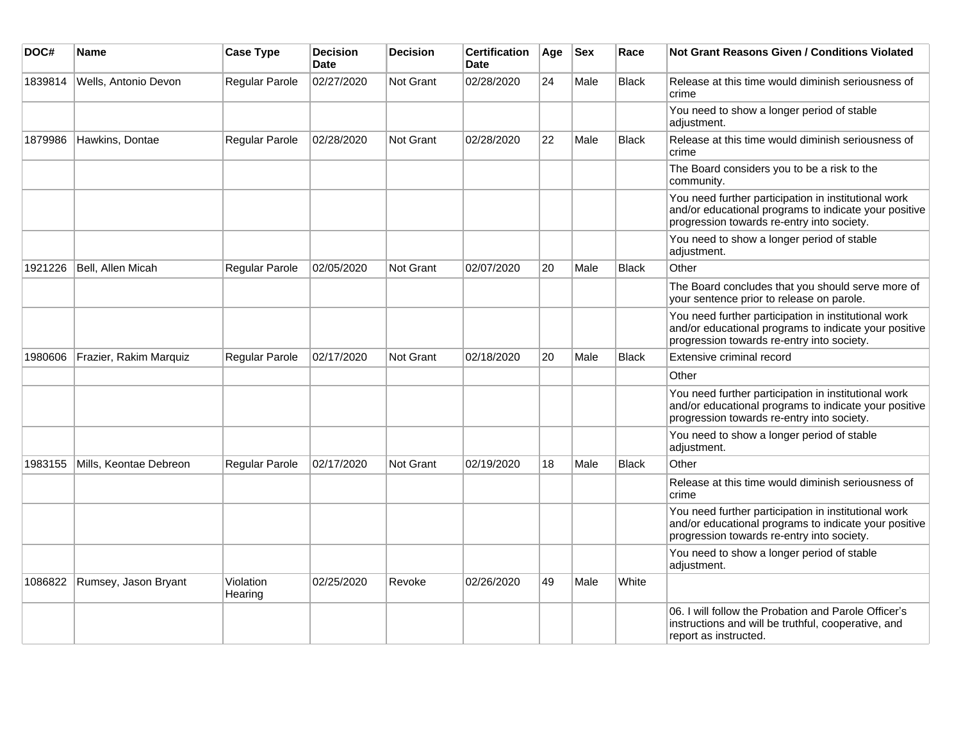| DOC#    | <b>Name</b>            | <b>Case Type</b>      | <b>Decision</b><br><b>Date</b> | <b>Decision</b>  | <b>Certification</b><br><b>Date</b> | Age | <b>Sex</b> | Race         | <b>Not Grant Reasons Given / Conditions Violated</b>                                                                                                        |
|---------|------------------------|-----------------------|--------------------------------|------------------|-------------------------------------|-----|------------|--------------|-------------------------------------------------------------------------------------------------------------------------------------------------------------|
| 1839814 | Wells, Antonio Devon   | Regular Parole        | 02/27/2020                     | Not Grant        | 02/28/2020                          | 24  | Male       | <b>Black</b> | Release at this time would diminish seriousness of<br>crime                                                                                                 |
|         |                        |                       |                                |                  |                                     |     |            |              | You need to show a longer period of stable<br>adjustment.                                                                                                   |
| 1879986 | Hawkins, Dontae        | Regular Parole        | 02/28/2020                     | <b>Not Grant</b> | 02/28/2020                          | 22  | Male       | <b>Black</b> | Release at this time would diminish seriousness of<br>crime                                                                                                 |
|         |                        |                       |                                |                  |                                     |     |            |              | The Board considers you to be a risk to the<br>community.                                                                                                   |
|         |                        |                       |                                |                  |                                     |     |            |              | You need further participation in institutional work<br>and/or educational programs to indicate your positive<br>progression towards re-entry into society. |
|         |                        |                       |                                |                  |                                     |     |            |              | You need to show a longer period of stable<br>adjustment.                                                                                                   |
| 1921226 | Bell, Allen Micah      | Regular Parole        | 02/05/2020                     | <b>Not Grant</b> | 02/07/2020                          | 20  | Male       | <b>Black</b> | Other                                                                                                                                                       |
|         |                        |                       |                                |                  |                                     |     |            |              | The Board concludes that you should serve more of<br>your sentence prior to release on parole.                                                              |
|         |                        |                       |                                |                  |                                     |     |            |              | You need further participation in institutional work<br>and/or educational programs to indicate your positive<br>progression towards re-entry into society. |
| 1980606 | Frazier, Rakim Marquiz | <b>Regular Parole</b> | 02/17/2020                     | <b>Not Grant</b> | 02/18/2020                          | 20  | Male       | <b>Black</b> | Extensive criminal record                                                                                                                                   |
|         |                        |                       |                                |                  |                                     |     |            |              | Other                                                                                                                                                       |
|         |                        |                       |                                |                  |                                     |     |            |              | You need further participation in institutional work<br>and/or educational programs to indicate your positive<br>progression towards re-entry into society. |
|         |                        |                       |                                |                  |                                     |     |            |              | You need to show a longer period of stable<br>adjustment.                                                                                                   |
| 1983155 | Mills, Keontae Debreon | Regular Parole        | 02/17/2020                     | <b>Not Grant</b> | 02/19/2020                          | 18  | Male       | <b>Black</b> | Other                                                                                                                                                       |
|         |                        |                       |                                |                  |                                     |     |            |              | Release at this time would diminish seriousness of<br>crime                                                                                                 |
|         |                        |                       |                                |                  |                                     |     |            |              | You need further participation in institutional work<br>and/or educational programs to indicate your positive<br>progression towards re-entry into society. |
|         |                        |                       |                                |                  |                                     |     |            |              | You need to show a longer period of stable<br>adjustment.                                                                                                   |
| 1086822 | Rumsey, Jason Bryant   | Violation<br>Hearing  | 02/25/2020                     | Revoke           | 02/26/2020                          | 49  | Male       | White        |                                                                                                                                                             |
|         |                        |                       |                                |                  |                                     |     |            |              | 06. I will follow the Probation and Parole Officer's<br>instructions and will be truthful, cooperative, and<br>report as instructed.                        |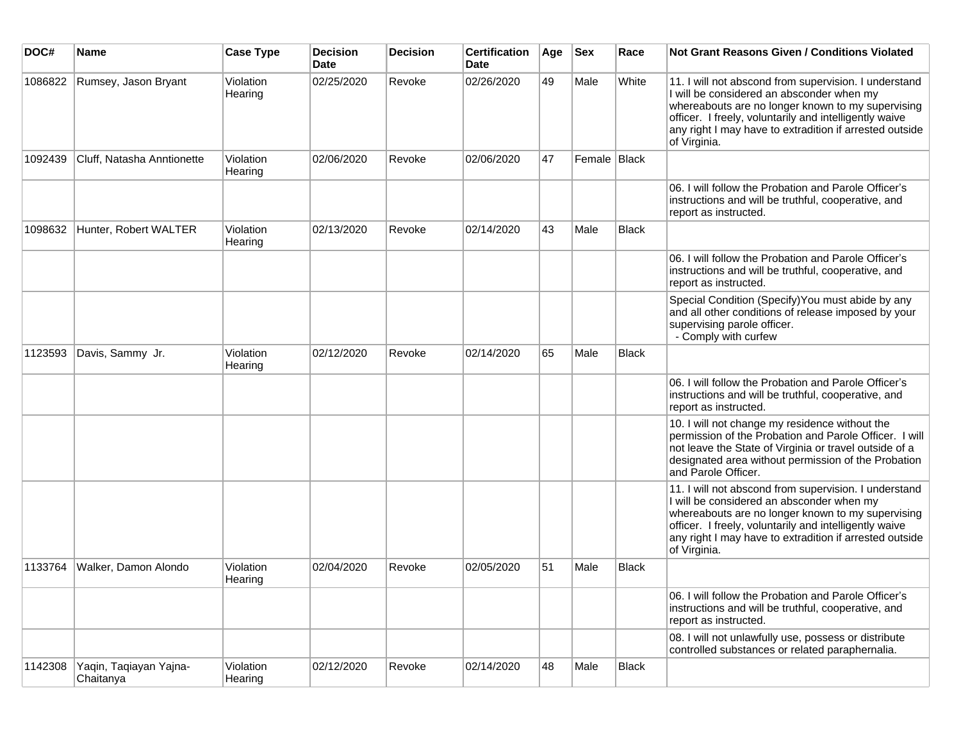| DOC#    | <b>Name</b>                         | <b>Case Type</b>     | <b>Decision</b><br><b>Date</b> | <b>Decision</b> | <b>Certification</b><br>Date | Age | <b>Sex</b>   | Race  | <b>Not Grant Reasons Given / Conditions Violated</b>                                                                                                                                                                                                                                         |
|---------|-------------------------------------|----------------------|--------------------------------|-----------------|------------------------------|-----|--------------|-------|----------------------------------------------------------------------------------------------------------------------------------------------------------------------------------------------------------------------------------------------------------------------------------------------|
| 1086822 | Rumsey, Jason Bryant                | Violation<br>Hearing | 02/25/2020                     | Revoke          | 02/26/2020                   | 49  | Male         | White | 11. I will not abscond from supervision. I understand<br>I will be considered an absconder when my<br>whereabouts are no longer known to my supervising<br>officer. I freely, voluntarily and intelligently waive<br>any right I may have to extradition if arrested outside<br>of Virginia. |
| 1092439 | Cluff, Natasha Anntionette          | Violation<br>Hearing | 02/06/2020                     | Revoke          | 02/06/2020                   | 47  | Female Black |       |                                                                                                                                                                                                                                                                                              |
|         |                                     |                      |                                |                 |                              |     |              |       | 06. I will follow the Probation and Parole Officer's<br>instructions and will be truthful, cooperative, and<br>report as instructed.                                                                                                                                                         |
| 1098632 | Hunter, Robert WALTER               | Violation<br>Hearing | 02/13/2020                     | Revoke          | 02/14/2020                   | 43  | Male         | Black |                                                                                                                                                                                                                                                                                              |
|         |                                     |                      |                                |                 |                              |     |              |       | 06. I will follow the Probation and Parole Officer's<br>instructions and will be truthful, cooperative, and<br>report as instructed.                                                                                                                                                         |
|         |                                     |                      |                                |                 |                              |     |              |       | Special Condition (Specify) You must abide by any<br>and all other conditions of release imposed by your<br>supervising parole officer.<br>- Comply with curfew                                                                                                                              |
| 1123593 | Davis, Sammy Jr.                    | Violation<br>Hearing | 02/12/2020                     | Revoke          | 02/14/2020                   | 65  | Male         | Black |                                                                                                                                                                                                                                                                                              |
|         |                                     |                      |                                |                 |                              |     |              |       | 06. I will follow the Probation and Parole Officer's<br>instructions and will be truthful, cooperative, and<br>report as instructed.                                                                                                                                                         |
|         |                                     |                      |                                |                 |                              |     |              |       | 10. I will not change my residence without the<br>permission of the Probation and Parole Officer. I will<br>not leave the State of Virginia or travel outside of a<br>designated area without permission of the Probation<br>and Parole Officer.                                             |
|         |                                     |                      |                                |                 |                              |     |              |       | 11. I will not abscond from supervision. I understand<br>I will be considered an absconder when my<br>whereabouts are no longer known to my supervising<br>officer. I freely, voluntarily and intelligently waive<br>any right I may have to extradition if arrested outside<br>of Virginia. |
| 1133764 | Walker, Damon Alondo                | Violation<br>Hearing | 02/04/2020                     | Revoke          | 02/05/2020                   | 51  | Male         | Black |                                                                                                                                                                                                                                                                                              |
|         |                                     |                      |                                |                 |                              |     |              |       | 06. I will follow the Probation and Parole Officer's<br>instructions and will be truthful, cooperative, and<br>report as instructed.                                                                                                                                                         |
|         |                                     |                      |                                |                 |                              |     |              |       | 08. I will not unlawfully use, possess or distribute<br>controlled substances or related paraphernalia.                                                                                                                                                                                      |
| 1142308 | Yaqin, Taqiayan Yajna-<br>Chaitanya | Violation<br>Hearing | 02/12/2020                     | Revoke          | 02/14/2020                   | 48  | Male         | Black |                                                                                                                                                                                                                                                                                              |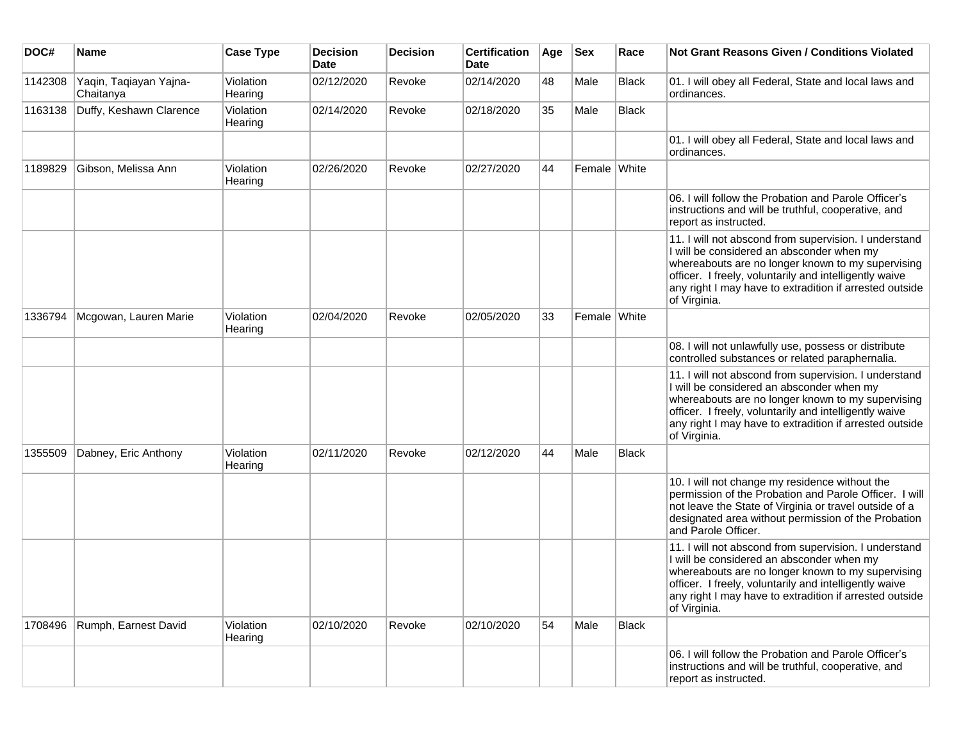| DOC#    | <b>Name</b>                         | <b>Case Type</b>     | <b>Decision</b><br><b>Date</b> | <b>Decision</b> | <b>Certification</b><br><b>Date</b> | Age | <b>Sex</b>   | Race  | <b>Not Grant Reasons Given / Conditions Violated</b>                                                                                                                                                                                                                                         |
|---------|-------------------------------------|----------------------|--------------------------------|-----------------|-------------------------------------|-----|--------------|-------|----------------------------------------------------------------------------------------------------------------------------------------------------------------------------------------------------------------------------------------------------------------------------------------------|
| 1142308 | Yaqin, Taqiayan Yajna-<br>Chaitanya | Violation<br>Hearing | 02/12/2020                     | Revoke          | 02/14/2020                          | 48  | Male         | Black | 01. I will obey all Federal, State and local laws and<br>ordinances.                                                                                                                                                                                                                         |
| 1163138 | Duffy, Keshawn Clarence             | Violation<br>Hearing | 02/14/2020                     | Revoke          | 02/18/2020                          | 35  | Male         | Black |                                                                                                                                                                                                                                                                                              |
|         |                                     |                      |                                |                 |                                     |     |              |       | 01. I will obey all Federal, State and local laws and<br>ordinances.                                                                                                                                                                                                                         |
| 1189829 | Gibson, Melissa Ann                 | Violation<br>Hearing | 02/26/2020                     | Revoke          | 02/27/2020                          | 44  | Female White |       |                                                                                                                                                                                                                                                                                              |
|         |                                     |                      |                                |                 |                                     |     |              |       | 06. I will follow the Probation and Parole Officer's<br>instructions and will be truthful, cooperative, and<br>report as instructed.                                                                                                                                                         |
|         |                                     |                      |                                |                 |                                     |     |              |       | 11. I will not abscond from supervision. I understand<br>I will be considered an absconder when my<br>whereabouts are no longer known to my supervising<br>officer. I freely, voluntarily and intelligently waive<br>any right I may have to extradition if arrested outside<br>of Virginia. |
| 1336794 | Mcgowan, Lauren Marie               | Violation<br>Hearing | 02/04/2020                     | Revoke          | 02/05/2020                          | 33  | Female White |       |                                                                                                                                                                                                                                                                                              |
|         |                                     |                      |                                |                 |                                     |     |              |       | 08. I will not unlawfully use, possess or distribute<br>controlled substances or related paraphernalia.                                                                                                                                                                                      |
|         |                                     |                      |                                |                 |                                     |     |              |       | 11. I will not abscond from supervision. I understand<br>I will be considered an absconder when my<br>whereabouts are no longer known to my supervising<br>officer. I freely, voluntarily and intelligently waive<br>any right I may have to extradition if arrested outside<br>of Virginia. |
| 1355509 | Dabney, Eric Anthony                | Violation<br>Hearing | 02/11/2020                     | Revoke          | 02/12/2020                          | 44  | Male         | Black |                                                                                                                                                                                                                                                                                              |
|         |                                     |                      |                                |                 |                                     |     |              |       | 10. I will not change my residence without the<br>permission of the Probation and Parole Officer. I will<br>not leave the State of Virginia or travel outside of a<br>designated area without permission of the Probation<br>and Parole Officer.                                             |
|         |                                     |                      |                                |                 |                                     |     |              |       | 11. I will not abscond from supervision. I understand<br>I will be considered an absconder when my<br>whereabouts are no longer known to my supervising<br>officer. I freely, voluntarily and intelligently waive<br>any right I may have to extradition if arrested outside<br>of Virginia. |
| 1708496 | Rumph, Earnest David                | Violation<br>Hearing | 02/10/2020                     | Revoke          | 02/10/2020                          | 54  | Male         | Black |                                                                                                                                                                                                                                                                                              |
|         |                                     |                      |                                |                 |                                     |     |              |       | 06. I will follow the Probation and Parole Officer's<br>instructions and will be truthful, cooperative, and<br>report as instructed.                                                                                                                                                         |